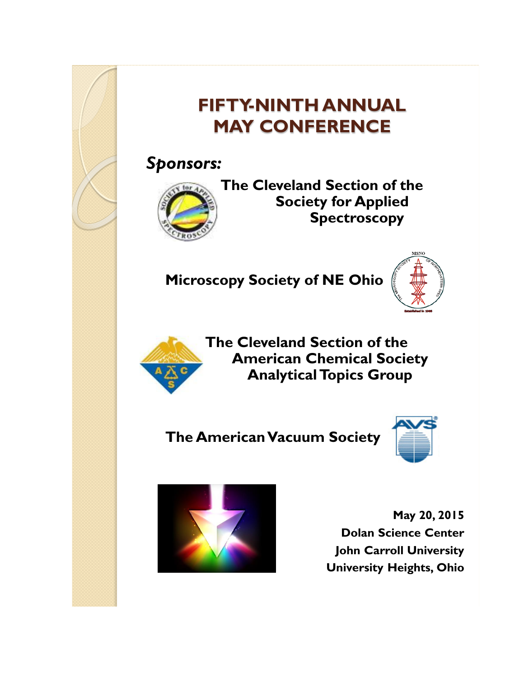# **FIFTY-NINTH ANNUAL MAY CONFERENCE**

## *Sponsors:*



**The Cleveland Section of the Society for Applied Spectroscopy**

## **Microscopy Society of NE Ohio**





**The Cleveland Section of the American Chemical Society Analytical Topics Group**

# **The American Vacuum Society**





**May 20, 2015 Dolan Science Center John Carroll University University Heights, Ohio**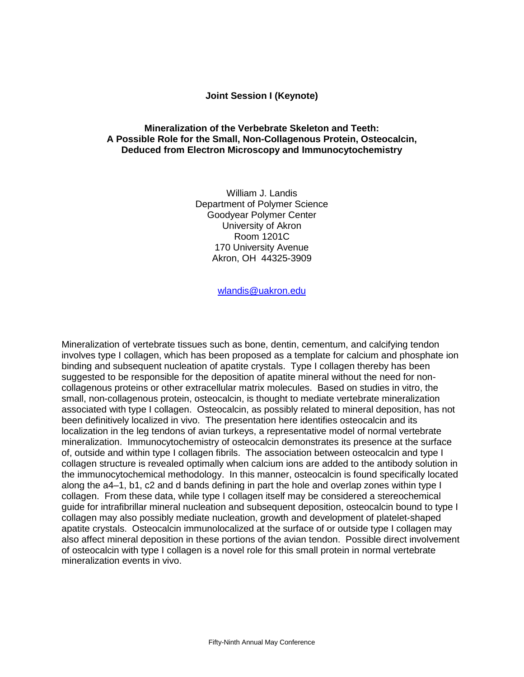#### **Joint Session I (Keynote)**

## **Mineralization of the Verbebrate Skeleton and Teeth: A Possible Role for the Small, Non-Collagenous Protein, Osteocalcin, Deduced from Electron Microscopy and Immunocytochemistry**

William J. Landis Department of Polymer Science Goodyear Polymer Center University of Akron Room 1201C 170 University Avenue Akron, OH 44325-3909

[wlandis@uakron.edu](mailto:wlandis@uakron.edu)

Mineralization of vertebrate tissues such as bone, dentin, cementum, and calcifying tendon involves type I collagen, which has been proposed as a template for calcium and phosphate ion binding and subsequent nucleation of apatite crystals. Type I collagen thereby has been suggested to be responsible for the deposition of apatite mineral without the need for noncollagenous proteins or other extracellular matrix molecules. Based on studies in vitro, the small, non-collagenous protein, osteocalcin, is thought to mediate vertebrate mineralization associated with type I collagen. Osteocalcin, as possibly related to mineral deposition, has not been definitively localized in vivo. The presentation here identifies osteocalcin and its localization in the leg tendons of avian turkeys, a representative model of normal vertebrate mineralization. Immunocytochemistry of osteocalcin demonstrates its presence at the surface of, outside and within type I collagen fibrils. The association between osteocalcin and type I collagen structure is revealed optimally when calcium ions are added to the antibody solution in the immunocytochemical methodology. In this manner, osteocalcin is found specifically located along the a4–1, b1, c2 and d bands defining in part the hole and overlap zones within type I collagen. From these data, while type I collagen itself may be considered a stereochemical guide for intrafibrillar mineral nucleation and subsequent deposition, osteocalcin bound to type I collagen may also possibly mediate nucleation, growth and development of platelet-shaped apatite crystals. Osteocalcin immunolocalized at the surface of or outside type I collagen may also affect mineral deposition in these portions of the avian tendon. Possible direct involvement of osteocalcin with type I collagen is a novel role for this small protein in normal vertebrate mineralization events in vivo.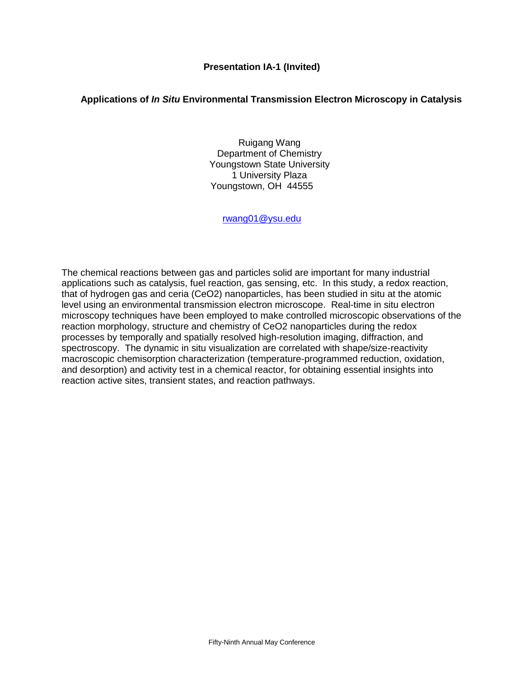## **Applications of** *In Situ* **Environmental Transmission Electron Microscopy in Catalysis**

Ruigang Wang Department of Chemistry Youngstown State University 1 University Plaza Youngstown, OH 44555

[rwang01@ysu.edu](mailto:rwang01@ysu.edu)

The chemical reactions between gas and particles solid are important for many industrial applications such as catalysis, fuel reaction, gas sensing, etc. In this study, a redox reaction, that of hydrogen gas and ceria (CeO2) nanoparticles, has been studied in situ at the atomic level using an environmental transmission electron microscope. Real-time in situ electron microscopy techniques have been employed to make controlled microscopic observations of the reaction morphology, structure and chemistry of CeO2 nanoparticles during the redox processes by temporally and spatially resolved high-resolution imaging, diffraction, and spectroscopy. The dynamic in situ visualization are correlated with shape/size-reactivity macroscopic chemisorption characterization (temperature-programmed reduction, oxidation, and desorption) and activity test in a chemical reactor, for obtaining essential insights into reaction active sites, transient states, and reaction pathways.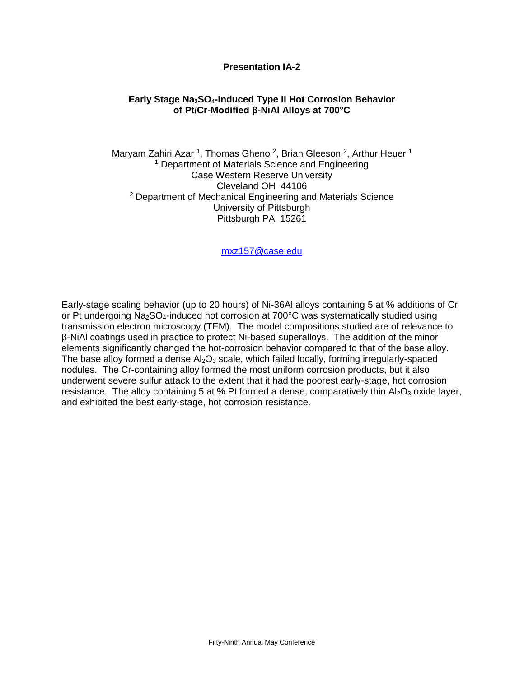## **Presentation IA-2**

## **Early Stage Na2SO4-Induced Type II Hot Corrosion Behavior of Pt/Cr-Modified β-NiAl Alloys at 700°C**

Maryam Zahiri Azar <sup>1</sup>, Thomas Gheno <sup>2</sup>, Brian Gleeson <sup>2</sup>, Arthur Heuer <sup>1</sup> <sup>1</sup> Department of Materials Science and Engineering Case Western Reserve University Cleveland OH 44106 <sup>2</sup> Department of Mechanical Engineering and Materials Science University of Pittsburgh Pittsburgh PA 15261

[mxz157@case.edu](mailto:mxz157@case.edu)

Early-stage scaling behavior (up to 20 hours) of Ni-36Al alloys containing 5 at % additions of Cr or Pt undergoing  $Na<sub>2</sub>SO<sub>4</sub>$ -induced hot corrosion at 700 $^{\circ}$ C was systematically studied using transmission electron microscopy (TEM). The model compositions studied are of relevance to β-NiAl coatings used in practice to protect Ni-based superalloys. The addition of the minor elements significantly changed the hot-corrosion behavior compared to that of the base alloy. The base alloy formed a dense  $A I_2O_3$  scale, which failed locally, forming irregularly-spaced nodules. The Cr-containing alloy formed the most uniform corrosion products, but it also underwent severe sulfur attack to the extent that it had the poorest early-stage, hot corrosion resistance. The alloy containing 5 at % Pt formed a dense, comparatively thin  $Al_2O_3$  oxide layer, and exhibited the best early-stage, hot corrosion resistance.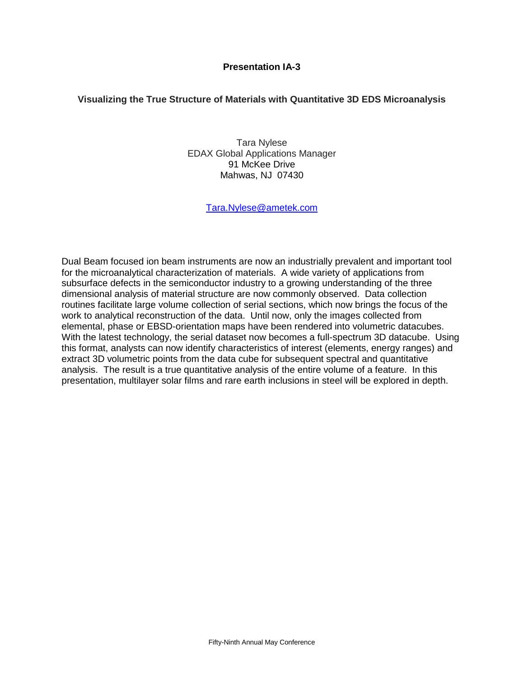## **Presentation IA-3**

## **Visualizing the True Structure of Materials with Quantitative 3D EDS Microanalysis**

Tara Nylese EDAX Global Applications Manager 91 McKee Drive Mahwas, NJ 07430

[Tara.Nylese@ametek.com](mailto:Tara.Nylese@ametek.com)

Dual Beam focused ion beam instruments are now an industrially prevalent and important tool for the microanalytical characterization of materials. A wide variety of applications from subsurface defects in the semiconductor industry to a growing understanding of the three dimensional analysis of material structure are now commonly observed. Data collection routines facilitate large volume collection of serial sections, which now brings the focus of the work to analytical reconstruction of the data. Until now, only the images collected from elemental, phase or EBSD-orientation maps have been rendered into volumetric datacubes. With the latest technology, the serial dataset now becomes a full-spectrum 3D datacube. Using this format, analysts can now identify characteristics of interest (elements, energy ranges) and extract 3D volumetric points from the data cube for subsequent spectral and quantitative analysis. The result is a true quantitative analysis of the entire volume of a feature. In this presentation, multilayer solar films and rare earth inclusions in steel will be explored in depth.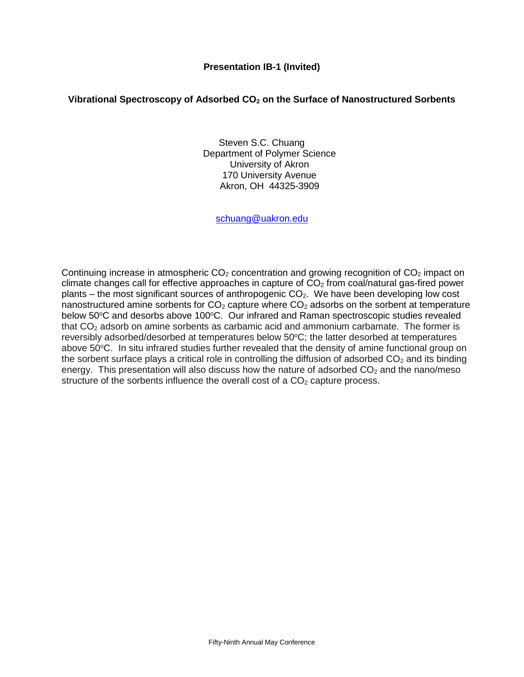## **Presentation IB-1 (Invited)**

#### **Vibrational Spectroscopy of Adsorbed CO<sup>2</sup> on the Surface of Nanostructured Sorbents**

Steven S.C. Chuang Department of Polymer Science University of Akron 170 University Avenue Akron, OH 44325-3909

[schuang@uakron.edu](mailto:schuang@uakron.edu)

Continuing increase in atmospheric  $CO<sub>2</sub>$  concentration and growing recognition of  $CO<sub>2</sub>$  impact on climate changes call for effective approaches in capture of  $CO<sub>2</sub>$  from coal/natural gas-fired power plants – the most significant sources of anthropogenic  $CO<sub>2</sub>$ . We have been developing low cost nanostructured amine sorbents for  $CO<sub>2</sub>$  capture where  $CO<sub>2</sub>$  adsorbs on the sorbent at temperature below 50°C and desorbs above 100°C. Our infrared and Raman spectroscopic studies revealed that  $CO<sub>2</sub>$  adsorb on amine sorbents as carbamic acid and ammonium carbamate. The former is reversibly adsorbed/desorbed at temperatures below  $50^{\circ}$ C; the latter desorbed at temperatures above 50°C. In situ infrared studies further revealed that the density of amine functional group on the sorbent surface plays a critical role in controlling the diffusion of adsorbed  $CO<sub>2</sub>$  and its binding energy. This presentation will also discuss how the nature of adsorbed  $CO<sub>2</sub>$  and the nano/meso structure of the sorbents influence the overall cost of a  $CO<sub>2</sub>$  capture process.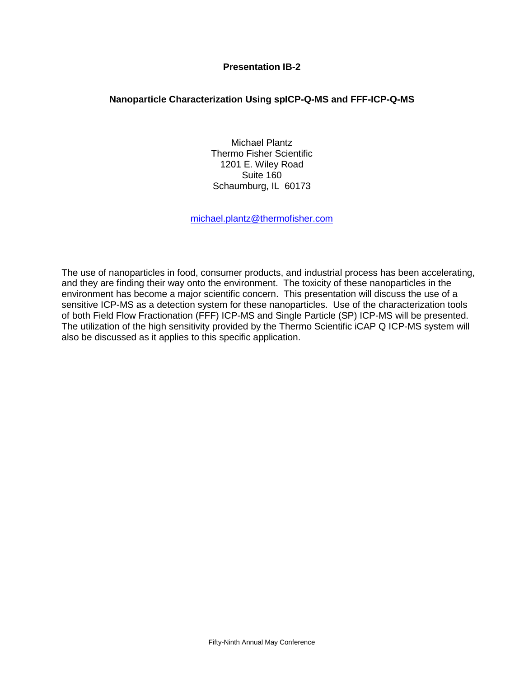## **Presentation IB-2**

## **Nanoparticle Characterization Using spICP-Q-MS and FFF-ICP-Q-MS**

Michael Plantz Thermo Fisher Scientific 1201 E. Wiley Road Suite 160 Schaumburg, IL 60173

[michael.plantz@thermofisher.com](mailto:mworden@kent.edu)

The use of nanoparticles in food, consumer products, and industrial process has been accelerating, and they are finding their way onto the environment. The toxicity of these nanoparticles in the environment has become a major scientific concern. This presentation will discuss the use of a sensitive ICP-MS as a detection system for these nanoparticles. Use of the characterization tools of both Field Flow Fractionation (FFF) ICP-MS and Single Particle (SP) ICP-MS will be presented. The utilization of the high sensitivity provided by the Thermo Scientific iCAP Q ICP-MS system will also be discussed as it applies to this specific application.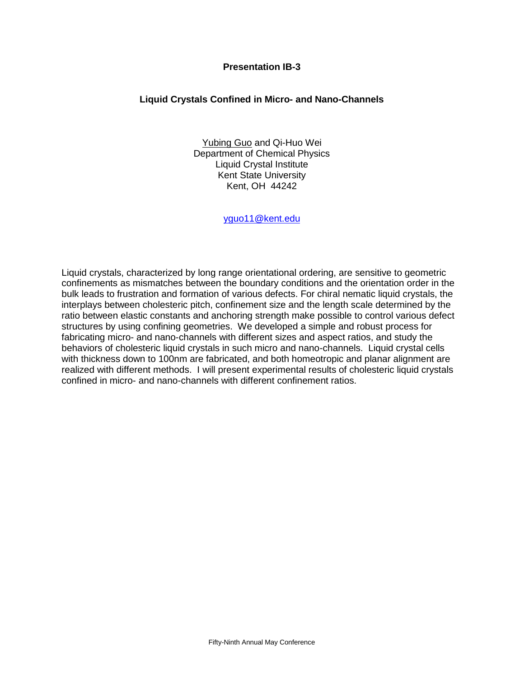## **Presentation IB-3**

## **Liquid Crystals Confined in Micro- and Nano-Channels**

Yubing Guo and Qi-Huo Wei Department of Chemical Physics Liquid Crystal Institute Kent State University Kent, OH 44242

[yguo11@kent.edu](mailto:yguo11@kent.edu)

Liquid crystals, characterized by long range orientational ordering, are sensitive to geometric confinements as mismatches between the boundary conditions and the orientation order in the bulk leads to frustration and formation of various defects. For chiral nematic liquid crystals, the interplays between cholesteric pitch, confinement size and the length scale determined by the ratio between elastic constants and anchoring strength make possible to control various defect structures by using confining geometries. We developed a simple and robust process for fabricating micro- and nano-channels with different sizes and aspect ratios, and study the behaviors of cholesteric liquid crystals in such micro and nano-channels. Liquid crystal cells with thickness down to 100nm are fabricated, and both homeotropic and planar alignment are realized with different methods. I will present experimental results of cholesteric liquid crystals confined in micro- and nano-channels with different confinement ratios.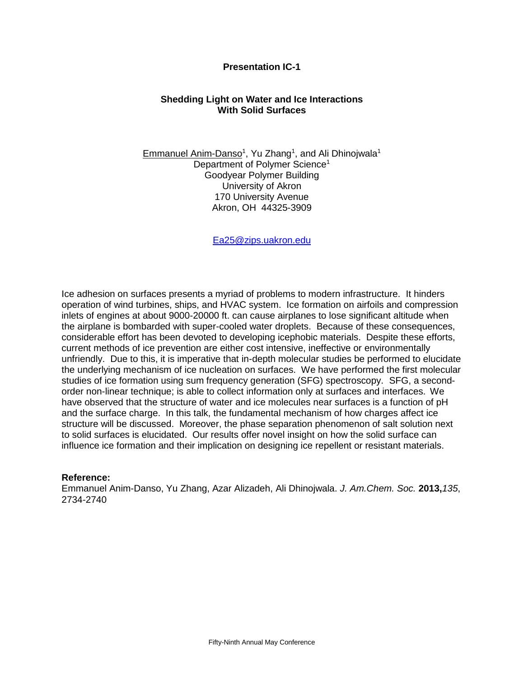## **Presentation IC-1**

#### **Shedding Light on Water and Ice Interactions With Solid Surfaces**

Emmanuel Anim-Danso<sup>1</sup>, Yu Zhang<sup>1</sup>, and Ali Dhinojwala<sup>1</sup> Department of Polymer Science<sup>1</sup> Goodyear Polymer Building University of Akron 170 University Avenue Akron, OH 44325-3909

[Ea25@zips.uakron.edu](mailto:Ea25@zips.uakron.edu)

Ice adhesion on surfaces presents a myriad of problems to modern infrastructure. It hinders operation of wind turbines, ships, and HVAC system. Ice formation on airfoils and compression inlets of engines at about 9000-20000 ft. can cause airplanes to lose significant altitude when the airplane is bombarded with super-cooled water droplets. Because of these consequences, considerable effort has been devoted to developing icephobic materials. Despite these efforts, current methods of ice prevention are either cost intensive, ineffective or environmentally unfriendly. Due to this, it is imperative that in-depth molecular studies be performed to elucidate the underlying mechanism of ice nucleation on surfaces. We have performed the first molecular studies of ice formation using sum frequency generation (SFG) spectroscopy. SFG, a secondorder non-linear technique; is able to collect information only at surfaces and interfaces. We have observed that the structure of water and ice molecules near surfaces is a function of pH and the surface charge. In this talk, the fundamental mechanism of how charges affect ice structure will be discussed. Moreover, the phase separation phenomenon of salt solution next to solid surfaces is elucidated. Our results offer novel insight on how the solid surface can influence ice formation and their implication on designing ice repellent or resistant materials.

#### **Reference:**

Emmanuel Anim-Danso, Yu Zhang, Azar Alizadeh, Ali Dhinojwala. *J. Am.Chem. Soc.* **2013,***135*, 2734-2740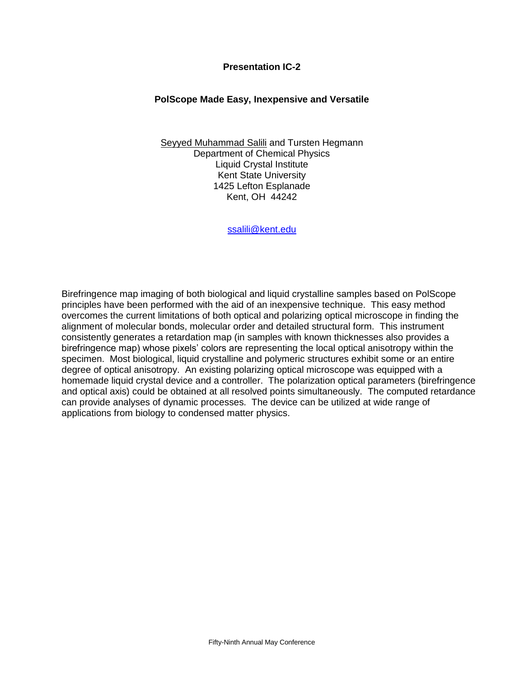## **Presentation IC-2**

## **PolScope Made Easy, Inexpensive and Versatile**

Seyyed Muhammad Salili and Tursten Hegmann Department of Chemical Physics Liquid Crystal Institute Kent State University 1425 Lefton Esplanade Kent, OH 44242

[ssalili@kent.edu](mailto:ssalili@kent.edu)

Birefringence map imaging of both biological and liquid crystalline samples based on PolScope principles have been performed with the aid of an inexpensive technique. This easy method overcomes the current limitations of both optical and polarizing optical microscope in finding the alignment of molecular bonds, molecular order and detailed structural form. This instrument consistently generates a retardation map (in samples with known thicknesses also provides a birefringence map) whose pixels' colors are representing the local optical anisotropy within the specimen. Most biological, liquid crystalline and polymeric structures exhibit some or an entire degree of optical anisotropy. An existing polarizing optical microscope was equipped with a homemade liquid crystal device and a controller. The polarization optical parameters (birefringence and optical axis) could be obtained at all resolved points simultaneously. The computed retardance can provide analyses of dynamic processes. The device can be utilized at wide range of applications from biology to condensed matter physics.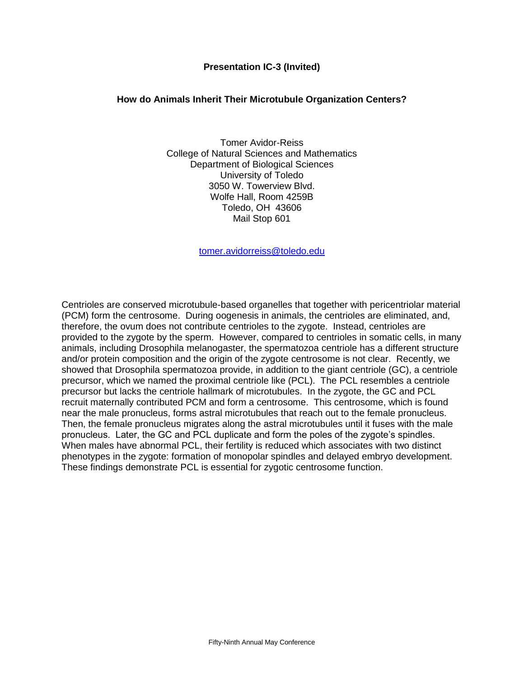## **Presentation IC-3 (Invited)**

#### **How do Animals Inherit Their Microtubule Organization Centers?**

Tomer Avidor-Reiss College of Natural Sciences and Mathematics Department of Biological Sciences University of Toledo 3050 W. Towerview Blvd. Wolfe Hall, Room 4259B Toledo, OH 43606 Mail Stop 601

[tomer.avidorreiss@toledo.edu](mailto:tomer.avidorreiss@toledo.edu)

Centrioles are conserved microtubule-based organelles that together with pericentriolar material (PCM) form the centrosome. During oogenesis in animals, the centrioles are eliminated, and, therefore, the ovum does not contribute centrioles to the zygote. Instead, centrioles are provided to the zygote by the sperm. However, compared to centrioles in somatic cells, in many animals, including Drosophila melanogaster, the spermatozoa centriole has a different structure and/or protein composition and the origin of the zygote centrosome is not clear. Recently, we showed that Drosophila spermatozoa provide, in addition to the giant centriole (GC), a centriole precursor, which we named the proximal centriole like (PCL). The PCL resembles a centriole precursor but lacks the centriole hallmark of microtubules. In the zygote, the GC and PCL recruit maternally contributed PCM and form a centrosome. This centrosome, which is found near the male pronucleus, forms astral microtubules that reach out to the female pronucleus. Then, the female pronucleus migrates along the astral microtubules until it fuses with the male pronucleus. Later, the GC and PCL duplicate and form the poles of the zygote's spindles. When males have abnormal PCL, their fertility is reduced which associates with two distinct phenotypes in the zygote: formation of monopolar spindles and delayed embryo development. These findings demonstrate PCL is essential for zygotic centrosome function.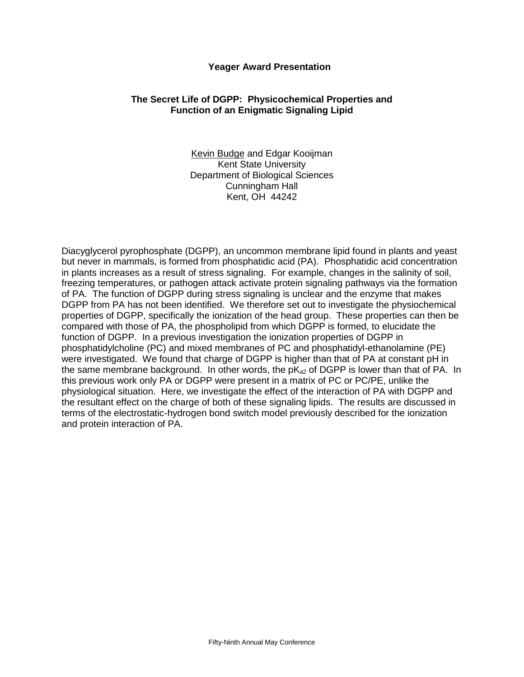#### **Yeager Award Presentation**

## **The Secret Life of DGPP: Physicochemical Properties and Function of an Enigmatic Signaling Lipid**

Kevin Budge and Edgar Kooijman Kent State University Department of Biological Sciences Cunningham Hall Kent, OH 44242

Diacyglycerol pyrophosphate (DGPP), an uncommon membrane lipid found in plants and yeast but never in mammals, is formed from phosphatidic acid (PA). Phosphatidic acid concentration in plants increases as a result of stress signaling. For example, changes in the salinity of soil, freezing temperatures, or pathogen attack activate protein signaling pathways via the formation of PA. The function of DGPP during stress signaling is unclear and the enzyme that makes DGPP from PA has not been identified. We therefore set out to investigate the physiochemical properties of DGPP, specifically the ionization of the head group. These properties can then be compared with those of PA, the phospholipid from which DGPP is formed, to elucidate the function of DGPP. In a previous investigation the ionization properties of DGPP in phosphatidylcholine (PC) and mixed membranes of PC and phosphatidyl-ethanolamine (PE) were investigated. We found that charge of DGPP is higher than that of PA at constant pH in the same membrane background. In other words, the  $pK_{a2}$  of DGPP is lower than that of PA. In this previous work only PA or DGPP were present in a matrix of PC or PC/PE, unlike the physiological situation. Here, we investigate the effect of the interaction of PA with DGPP and the resultant effect on the charge of both of these signaling lipids. The results are discussed in terms of the electrostatic-hydrogen bond switch model previously described for the ionization and protein interaction of PA.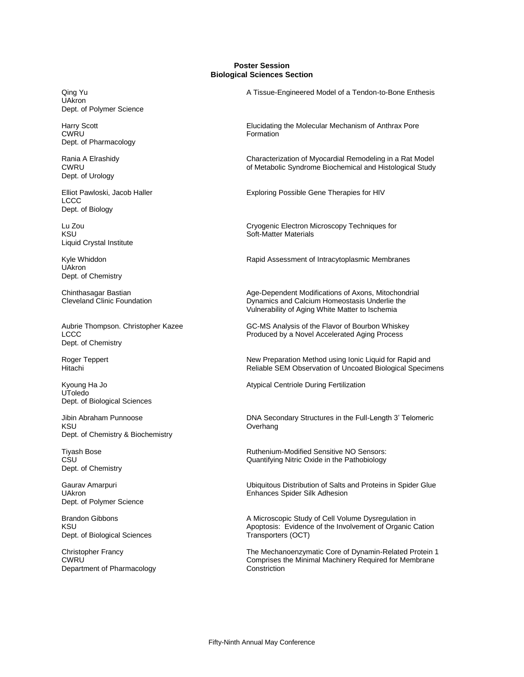#### **Poster Session Biological Sciences Section**

UAkron Dept. of Polymer Science

Dept. of Pharmacology

Dept. of Urology

**LCCC** Dept. of Biology

KSU Soft-Matter Materials Liquid Crystal Institute

UAkron Dept. of Chemistry

Dept. of Chemistry

UToledo Dept. of Biological Sciences

KSU Overhang Dept. of Chemistry & Biochemistry

Dept. of Chemistry

Dept. of Polymer Science

Dept. of Biological Sciences Transporters (OCT)

Department of Pharmacology Constriction

Qing Yu A Tissue-Engineered Model of a Tendon-to-Bone Enthesis

Harry Scott **Elucidating the Molecular Mechanism of Anthrax Pore**<br>
Formation<br>
Formation Formation

Rania A Elrashidy **Characterization of Myocardial Remodeling in a Rat Model**<br>CWRU CWRU CORES OF Metabolic Syndrome Biochemical and Histological Study of Metabolic Syndrome Biochemical and Histological Study

Elliot Pawloski, Jacob Haller Exploring Possible Gene Therapies for HIV

Lu Zou Cryogenic Electron Microscopy Techniques for

Kyle Whiddon **Rapid Assessment of Intracytoplasmic Membranes** Rapid Assessment of Intracytoplasmic Membranes

Chinthasagar Bastian **Age-Dependent Modifications of Axons**, Mitochondrial Chinthasagar Bastian Cleveland Clinic Foundation Dynamics and Calcium Homeostasis Underlie the Vulnerability of Aging White Matter to Ischemia

Aubrie Thompson. Christopher Kazee GC-MS Analysis of the Flavor of Bourbon Whiskey LCCC Produced by a Novel Accelerated Aging Process

Roger Teppert **New Preparation Method using Ionic Liquid for Rapid and September 2016**<br>Hitachi **New Preparation Method using Ionic Liquid for Rapid and Hitachi** Reliable SEM Observation of Uncoated Biological Specimens

Kyoung Ha Jo **Atypical Centriole During Fertilization** Atypical Centriole During Fertilization

Jibin Abraham Punnoose DNA Secondary Structures in the Full-Length 3' Telomeric

Tiyash Bose **Ruthenium-Modified Sensitive NO Sensors:**<br>CSU CSU Quantifying Nitric Oxide in the Pathobiology

Gaurav Amarpuri **Caurav Amarpuri Community Community** Ubiquitous Distribution of Salts and Proteins in Spider Glue<br>
UAkron University Chances Spider Silk Adhesion Enhances Spider Silk Adhesion

Brandon Gibbons **A Microscopic Study of Cell Volume Dysregulation in** A Microscopic Study of Cell Volume Dysregulation in KSU **All Accords** Apoptosis: Evidence of the Involvement of Organic Cation in Apoptosis: Evidence of the Involvement of Organic Cation

Christopher Francy The Mechanoenzymatic Core of Dynamin-Related Protein 1 CWRU Comprises the Minimal Machinery Required for Membrane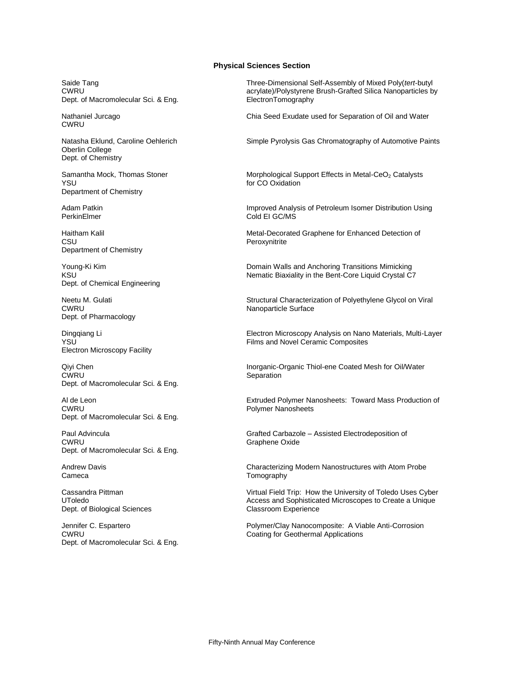#### **Physical Sciences Section**

Dept. of Macromolecular Sci. & Eng.

CWRU

Oberlin College Dept. of Chemistry

Department of Chemistry

Department of Chemistry

Dept. of Chemical Engineering

**CWRU Nanoparticle Surface** Dept. of Pharmacology

Electron Microscopy Facility

Dept. of Macromolecular Sci. & Eng.

CWRU **CWRU** Polymer Nanosheets Dept. of Macromolecular Sci. & Eng.

CWRU Graphene Oxide Dept. of Macromolecular Sci. & Eng.

Dept. of Biological Sciences

Dept. of Macromolecular Sci. & Eng.

Saide Tang Three-Dimensional Self-Assembly of Mixed Poly(*tert*-butyl<br>CWRU CWRU acrylate)/Polystyrene Brush-Grafted Silica Nanoparticles b acrylate)/Polystyrene Brush-Grafted Silica Nanoparticles by<br>ElectronTomography

Nathaniel Jurcago Chia Seed Exudate used for Separation of Oil and Water

Natasha Eklund, Caroline Oehlerich Simple Pyrolysis Gas Chromatography of Automotive Paints

Samantha Mock, Thomas Stoner Morphological Support Effects in Metal-CeO<sub>2</sub> Catalysts<br>
YSU

YSU for CO Oxidation

Adam Patkin **Improved Analysis of Petroleum Isomer Distribution Using** Inc. 2016 PerkinElmer Cold EI GC/MS

Haitham Kalil Metal-Decorated Graphene for Enhanced Detection of<br>
CSU<br>
CSU Peroxynitrite

Young-Ki Kim **Now are absolute Community** Domain Walls and Anchoring Transitions Mimicking KSU Nematic Biaxiality in the Bent-Core Liquid Crystal C7

Neetu M. Gulati Structural Characterization of Polyethylene Glycol on Viral

Dingqiang Li Electron Microscopy Analysis on Nano Materials, Multi-Layer Films and Novel Ceramic Composites

Qiyi Chen **Inorganic-Organic Thiol-ene Coated Mesh for Oil/Water**<br>
Separation<br>
Separation Separation

Al de Leon **Extruded Polymer Nanosheets: Toward Mass Production of** Extruded Polymer Nanosheets: Toward Mass Production of

Paul Advincula Grafted Carbazole – Assisted Electrodeposition of

Andrew Davis Characterizing Modern Nanostructures with Atom Probe Cameca **Tomography** 

Cassandra Pittman Virtual Field Trip: How the University of Toledo Uses Cyber UToledo <br>
Dept. of Biological Sciences<br>
Classroom Experience<br>
Classroom Experience

Jennifer C. Espartero Polymer/Clay Nanocomposite: A Viable Anti-Corrosion CWRU Coating for Geothermal Applications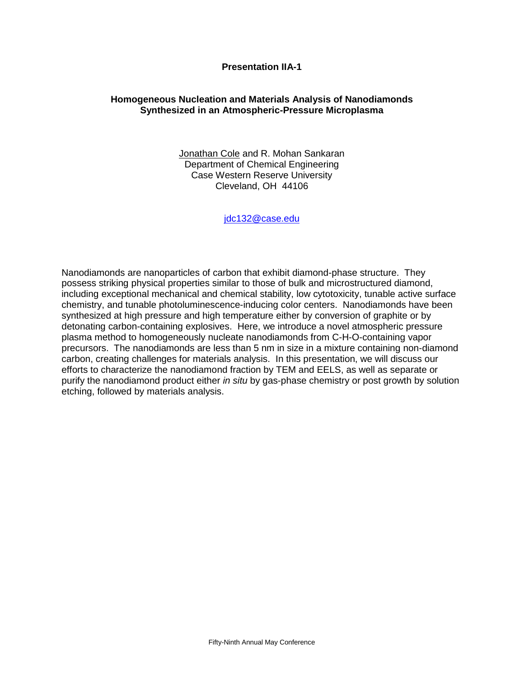## **Presentation IIA-1**

## **Homogeneous Nucleation and Materials Analysis of Nanodiamonds Synthesized in an Atmospheric-Pressure Microplasma**

Jonathan Cole and R. Mohan Sankaran Department of Chemical Engineering Case Western Reserve University Cleveland, OH 44106

[jdc132@case.edu](mailto:jdc132@case.edu)

Nanodiamonds are nanoparticles of carbon that exhibit diamond-phase structure. They possess striking physical properties similar to those of bulk and microstructured diamond, including exceptional mechanical and chemical stability, low cytotoxicity, tunable active surface chemistry, and tunable photoluminescence-inducing color centers. Nanodiamonds have been synthesized at high pressure and high temperature either by conversion of graphite or by detonating carbon-containing explosives. Here, we introduce a novel atmospheric pressure plasma method to homogeneously nucleate nanodiamonds from C-H-O-containing vapor precursors. The nanodiamonds are less than 5 nm in size in a mixture containing non-diamond carbon, creating challenges for materials analysis. In this presentation, we will discuss our efforts to characterize the nanodiamond fraction by TEM and EELS, as well as separate or purify the nanodiamond product either *in situ* by gas-phase chemistry or post growth by solution etching, followed by materials analysis.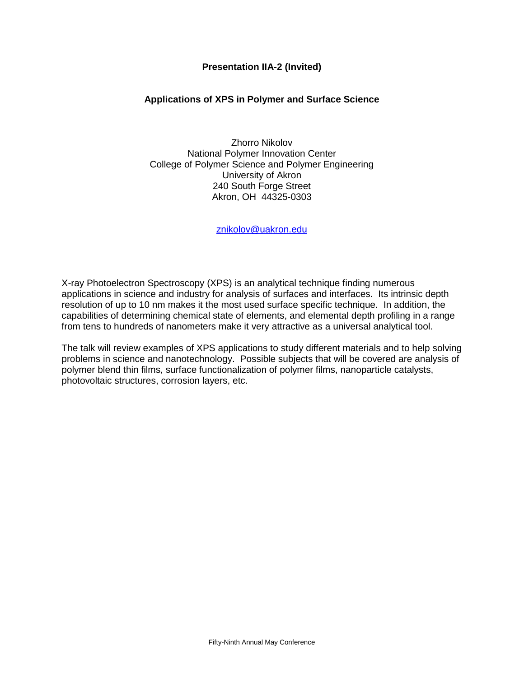## **Presentation IIA-2 (Invited)**

## **Applications of XPS in Polymer and Surface Science**

Zhorro Nikolov National Polymer Innovation Center College of Polymer Science and Polymer Engineering University of Akron 240 South Forge Street Akron, OH 44325-0303

[znikolov@uakron.edu](mailto:znikolov@uakron.edu)

X-ray Photoelectron Spectroscopy (XPS) is an analytical technique finding numerous applications in science and industry for analysis of surfaces and interfaces. Its intrinsic depth resolution of up to 10 nm makes it the most used surface specific technique. In addition, the capabilities of determining chemical state of elements, and elemental depth profiling in a range from tens to hundreds of nanometers make it very attractive as a universal analytical tool.

The talk will review examples of XPS applications to study different materials and to help solving problems in science and nanotechnology. Possible subjects that will be covered are analysis of polymer blend thin films, surface functionalization of polymer films, nanoparticle catalysts, photovoltaic structures, corrosion layers, etc.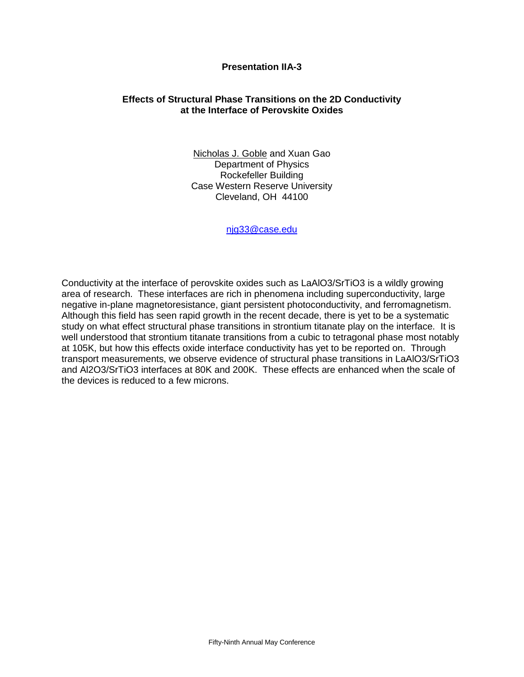#### **Presentation IIA-3**

## **Effects of Structural Phase Transitions on the 2D Conductivity at the Interface of Perovskite Oxides**

Nicholas J. Goble and Xuan Gao Department of Physics Rockefeller Building Case Western Reserve University Cleveland, OH 44100

[njg33@case.edu](mailto:njg33@case.edu)

Conductivity at the interface of perovskite oxides such as LaAlO3/SrTiO3 is a wildly growing area of research. These interfaces are rich in phenomena including superconductivity, large negative in-plane magnetoresistance, giant persistent photoconductivity, and ferromagnetism. Although this field has seen rapid growth in the recent decade, there is yet to be a systematic study on what effect structural phase transitions in strontium titanate play on the interface. It is well understood that strontium titanate transitions from a cubic to tetragonal phase most notably at 105K, but how this effects oxide interface conductivity has yet to be reported on. Through transport measurements, we observe evidence of structural phase transitions in LaAlO3/SrTiO3 and Al2O3/SrTiO3 interfaces at 80K and 200K. These effects are enhanced when the scale of the devices is reduced to a few microns.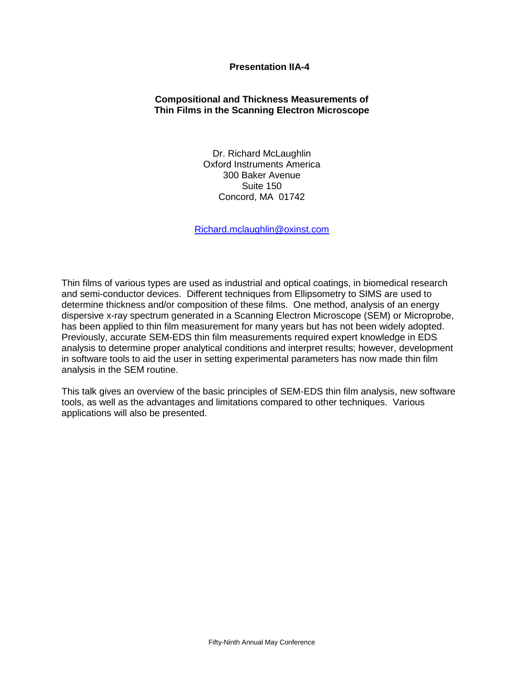## **Presentation IIA-4**

## **Compositional and Thickness Measurements of Thin Films in the Scanning Electron Microscope**

Dr. Richard McLaughlin Oxford Instruments America 300 Baker Avenue Suite 150 Concord, MA 01742

[Richard.mclaughlin@oxinst.com](mailto:Richard.mclaughlin@oxinst.com)

Thin films of various types are used as industrial and optical coatings, in biomedical research and semi-conductor devices. Different techniques from Ellipsometry to SIMS are used to determine thickness and/or composition of these films. One method, analysis of an energy dispersive x-ray spectrum generated in a Scanning Electron Microscope (SEM) or Microprobe, has been applied to thin film measurement for many years but has not been widely adopted. Previously, accurate SEM-EDS thin film measurements required expert knowledge in EDS analysis to determine proper analytical conditions and interpret results; however, development in software tools to aid the user in setting experimental parameters has now made thin film analysis in the SEM routine.

This talk gives an overview of the basic principles of SEM-EDS thin film analysis, new software tools, as well as the advantages and limitations compared to other techniques. Various applications will also be presented.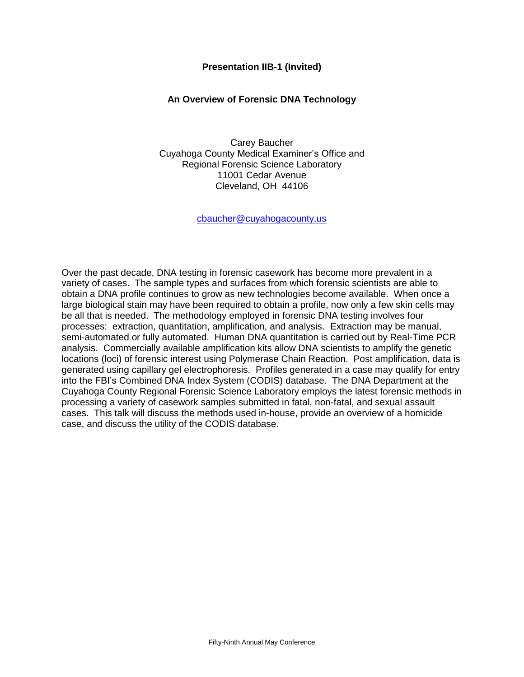#### **Presentation IIB-1 (Invited)**

#### **An Overview of Forensic DNA Technology**

Carey Baucher Cuyahoga County Medical Examiner's Office and Regional Forensic Science Laboratory 11001 Cedar Avenue Cleveland, OH 44106

[cbaucher@cuyahogacounty.us](mailto:cbaucher@cuyahogacounty.us)

Over the past decade, DNA testing in forensic casework has become more prevalent in a variety of cases. The sample types and surfaces from which forensic scientists are able to obtain a DNA profile continues to grow as new technologies become available. When once a large biological stain may have been required to obtain a profile, now only a few skin cells may be all that is needed. The methodology employed in forensic DNA testing involves four processes: extraction, quantitation, amplification, and analysis. Extraction may be manual, semi-automated or fully automated. Human DNA quantitation is carried out by Real-Time PCR analysis. Commercially available amplification kits allow DNA scientists to amplify the genetic locations (loci) of forensic interest using Polymerase Chain Reaction. Post amplification, data is generated using capillary gel electrophoresis. Profiles generated in a case may qualify for entry into the FBI's Combined DNA Index System (CODIS) database. The DNA Department at the Cuyahoga County Regional Forensic Science Laboratory employs the latest forensic methods in processing a variety of casework samples submitted in fatal, non-fatal, and sexual assault cases. This talk will discuss the methods used in-house, provide an overview of a homicide case, and discuss the utility of the CODIS database.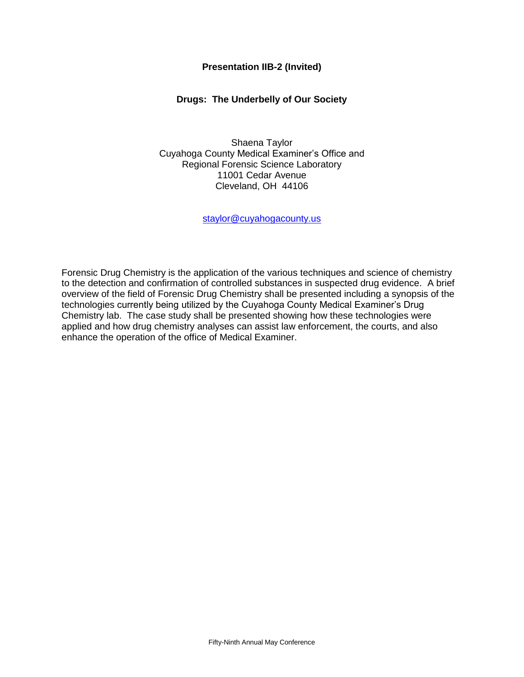## **Drugs: The Underbelly of Our Society**

Shaena Taylor Cuyahoga County Medical Examiner's Office and Regional Forensic Science Laboratory 11001 Cedar Avenue Cleveland, OH 44106

[staylor@cuyahogacounty.us](mailto:staylor@cuyahogacounty.us)

Forensic Drug Chemistry is the application of the various techniques and science of chemistry to the detection and confirmation of controlled substances in suspected drug evidence. A brief overview of the field of Forensic Drug Chemistry shall be presented including a synopsis of the technologies currently being utilized by the Cuyahoga County Medical Examiner's Drug Chemistry lab. The case study shall be presented showing how these technologies were applied and how drug chemistry analyses can assist law enforcement, the courts, and also enhance the operation of the office of Medical Examiner.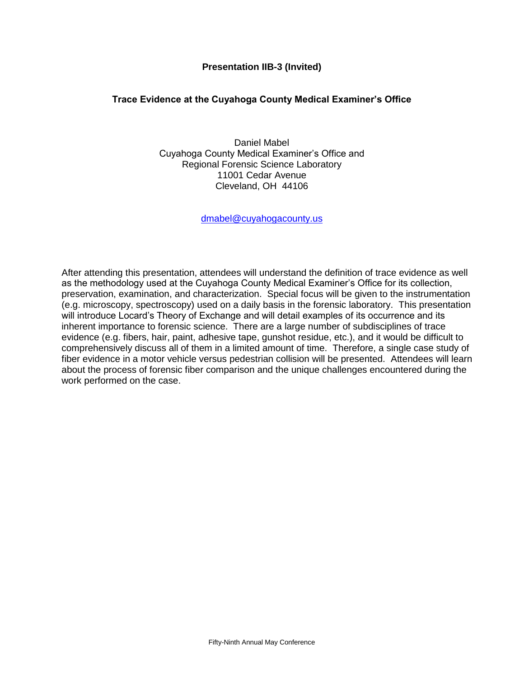## **Presentation IIB-3 (Invited)**

## **Trace Evidence at the Cuyahoga County Medical Examiner's Office**

Daniel Mabel Cuyahoga County Medical Examiner's Office and Regional Forensic Science Laboratory 11001 Cedar Avenue Cleveland, OH 44106

[dmabel@cuyahogacounty.us](mailto:dmabel@cuyahogacounty.us)

After attending this presentation, attendees will understand the definition of trace evidence as well as the methodology used at the Cuyahoga County Medical Examiner's Office for its collection, preservation, examination, and characterization. Special focus will be given to the instrumentation (e.g. microscopy, spectroscopy) used on a daily basis in the forensic laboratory. This presentation will introduce Locard's Theory of Exchange and will detail examples of its occurrence and its inherent importance to forensic science. There are a large number of subdisciplines of trace evidence (e.g. fibers, hair, paint, adhesive tape, gunshot residue, etc.), and it would be difficult to comprehensively discuss all of them in a limited amount of time. Therefore, a single case study of fiber evidence in a motor vehicle versus pedestrian collision will be presented. Attendees will learn about the process of forensic fiber comparison and the unique challenges encountered during the work performed on the case.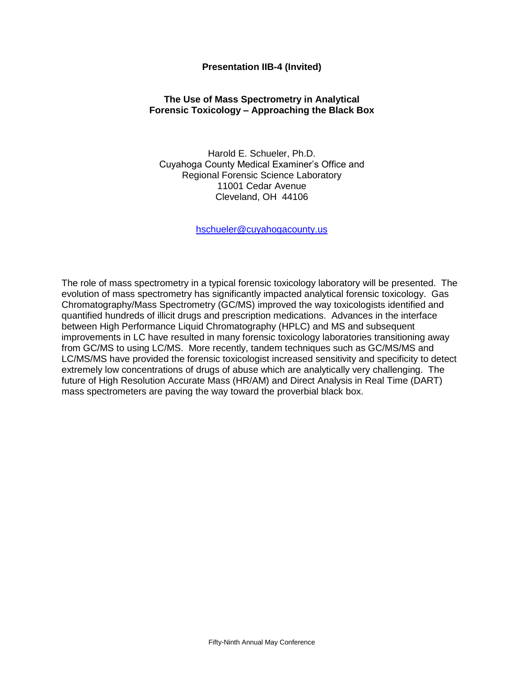## **Presentation IIB-4 (Invited)**

## **The Use of Mass Spectrometry in Analytical Forensic Toxicology – Approaching the Black Box**

Harold E. Schueler, Ph.D. Cuyahoga County Medical Examiner's Office and Regional Forensic Science Laboratory 11001 Cedar Avenue Cleveland, OH 44106

[hschueler@cuyahogacounty.us](mailto:hschueler@cuyahogacounty.us)

The role of mass spectrometry in a typical forensic toxicology laboratory will be presented. The evolution of mass spectrometry has significantly impacted analytical forensic toxicology. Gas Chromatography/Mass Spectrometry (GC/MS) improved the way toxicologists identified and quantified hundreds of illicit drugs and prescription medications. Advances in the interface between High Performance Liquid Chromatography (HPLC) and MS and subsequent improvements in LC have resulted in many forensic toxicology laboratories transitioning away from GC/MS to using LC/MS. More recently, tandem techniques such as GC/MS/MS and LC/MS/MS have provided the forensic toxicologist increased sensitivity and specificity to detect extremely low concentrations of drugs of abuse which are analytically very challenging. The future of High Resolution Accurate Mass (HR/AM) and Direct Analysis in Real Time (DART) mass spectrometers are paving the way toward the proverbial black box.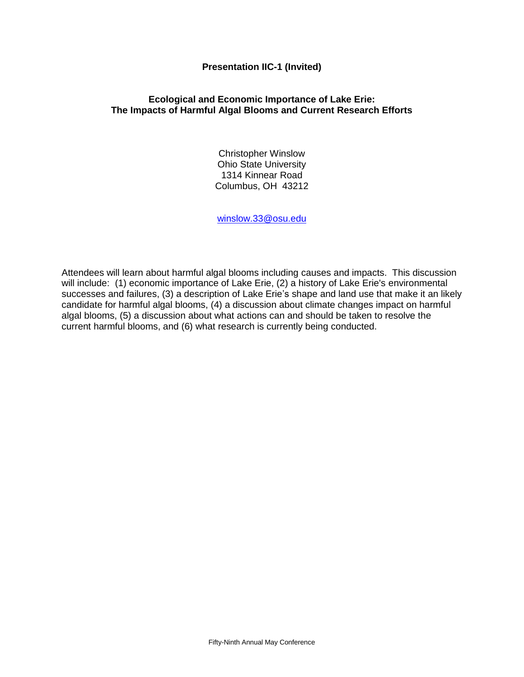## **Presentation IIC-1 (Invited)**

## **Ecological and Economic Importance of Lake Erie: The Impacts of Harmful Algal Blooms and Current Research Efforts**

Christopher Winslow Ohio State University 1314 Kinnear Road Columbus, OH 43212

[winslow.33@osu.edu](mailto:winslow.33@osu.edu)

Attendees will learn about harmful algal blooms including causes and impacts. This discussion will include: (1) economic importance of Lake Erie, (2) a history of Lake Erie's environmental successes and failures, (3) a description of Lake Erie's shape and land use that make it an likely candidate for harmful algal blooms, (4) a discussion about climate changes impact on harmful algal blooms, (5) a discussion about what actions can and should be taken to resolve the current harmful blooms, and (6) what research is currently being conducted.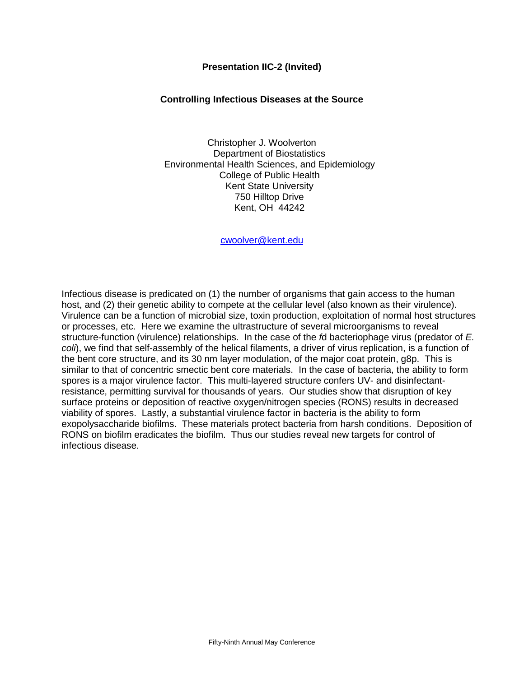#### **Presentation IIC-2 (Invited)**

#### **Controlling Infectious Diseases at the Source**

Christopher J. Woolverton Department of Biostatistics Environmental Health Sciences, and Epidemiology College of Public Health Kent State University 750 Hilltop Drive Kent, OH 44242

[cwoolver@kent.edu](mailto:cwoolver@kent.edu)

Infectious disease is predicated on (1) the number of organisms that gain access to the human host, and (2) their genetic ability to compete at the cellular level (also known as their virulence). Virulence can be a function of microbial size, toxin production, exploitation of normal host structures or processes, etc. Here we examine the ultrastructure of several microorganisms to reveal structure-function (virulence) relationships. In the case of the *f*d bacteriophage virus (predator of *E. coli*), we find that self-assembly of the helical filaments, a driver of virus replication, is a function of the bent core structure, and its 30 nm layer modulation, of the major coat protein, g8p. This is similar to that of concentric smectic bent core materials. In the case of bacteria, the ability to form spores is a major virulence factor. This multi-layered structure confers UV- and disinfectantresistance, permitting survival for thousands of years. Our studies show that disruption of key surface proteins or deposition of reactive oxygen/nitrogen species (RONS) results in decreased viability of spores. Lastly, a substantial virulence factor in bacteria is the ability to form exopolysaccharide biofilms. These materials protect bacteria from harsh conditions. Deposition of RONS on biofilm eradicates the biofilm. Thus our studies reveal new targets for control of infectious disease.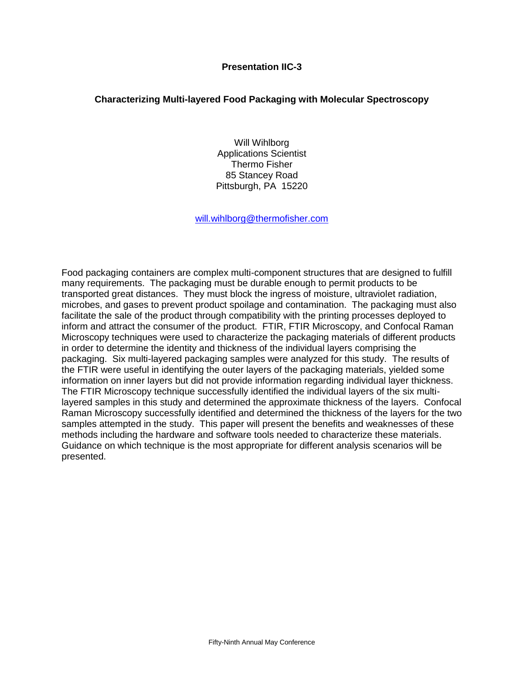## **Presentation IIC-3**

## **Characterizing Multi-layered Food Packaging with Molecular Spectroscopy**

Will Wihlborg Applications Scientist Thermo Fisher 85 Stancey Road Pittsburgh, PA 15220

[will.wihlborg@thermofisher.com](mailto:will.wihlborg@thermofisher.com)

Food packaging containers are complex multi-component structures that are designed to fulfill many requirements. The packaging must be durable enough to permit products to be transported great distances. They must block the ingress of moisture, ultraviolet radiation, microbes, and gases to prevent product spoilage and contamination. The packaging must also facilitate the sale of the product through compatibility with the printing processes deployed to inform and attract the consumer of the product. FTIR, FTIR Microscopy, and Confocal Raman Microscopy techniques were used to characterize the packaging materials of different products in order to determine the identity and thickness of the individual layers comprising the packaging. Six multi-layered packaging samples were analyzed for this study. The results of the FTIR were useful in identifying the outer layers of the packaging materials, yielded some information on inner layers but did not provide information regarding individual layer thickness. The FTIR Microscopy technique successfully identified the individual layers of the six multilayered samples in this study and determined the approximate thickness of the layers. Confocal Raman Microscopy successfully identified and determined the thickness of the layers for the two samples attempted in the study. This paper will present the benefits and weaknesses of these methods including the hardware and software tools needed to characterize these materials. Guidance on which technique is the most appropriate for different analysis scenarios will be presented.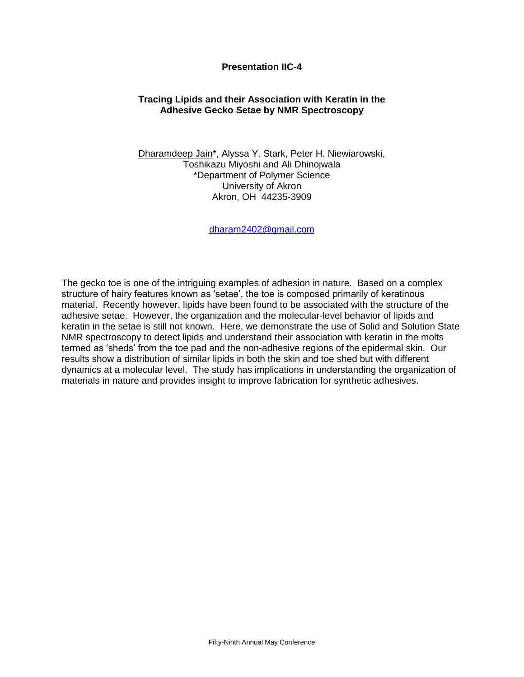## **Presentation IIC-4**

## **Tracing Lipids and their Association with Keratin in the Adhesive Gecko Setae by NMR Spectroscopy**

Dharamdeep Jain\*, Alyssa Y. Stark, Peter H. Niewiarowski, Toshikazu Miyoshi and Ali Dhinojwala \*Department of Polymer Science University of Akron Akron, OH 44235-3909

[dharam2402@gmail.com](mailto:dharam2402@gmail.com)

The gecko toe is one of the intriguing examples of adhesion in nature. Based on a complex structure of hairy features known as 'setae', the toe is composed primarily of keratinous material. Recently however, lipids have been found to be associated with the structure of the adhesive setae. However, the organization and the molecular-level behavior of lipids and keratin in the setae is still not known. Here, we demonstrate the use of Solid and Solution State NMR spectroscopy to detect lipids and understand their association with keratin in the molts termed as 'sheds' from the toe pad and the non-adhesive regions of the epidermal skin. Our results show a distribution of similar lipids in both the skin and toe shed but with different dynamics at a molecular level. The study has implications in understanding the organization of materials in nature and provides insight to improve fabrication for synthetic adhesives.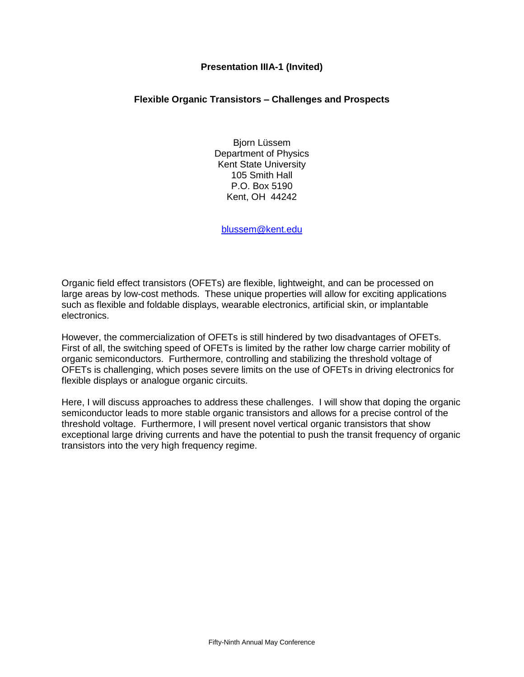## **Presentation IIIA-1 (Invited)**

## **Flexible Organic Transistors – Challenges and Prospects**

Bjorn Lüssem Department of Physics Kent State University 105 Smith Hall P.O. Box 5190 Kent, OH 44242

[blussem@kent.edu](mailto:blussem@kent.edu)

Organic field effect transistors (OFETs) are flexible, lightweight, and can be processed on large areas by low-cost methods. These unique properties will allow for exciting applications such as flexible and foldable displays, wearable electronics, artificial skin, or implantable electronics.

However, the commercialization of OFETs is still hindered by two disadvantages of OFETs. First of all, the switching speed of OFETs is limited by the rather low charge carrier mobility of organic semiconductors. Furthermore, controlling and stabilizing the threshold voltage of OFETs is challenging, which poses severe limits on the use of OFETs in driving electronics for flexible displays or analogue organic circuits.

Here, I will discuss approaches to address these challenges. I will show that doping the organic semiconductor leads to more stable organic transistors and allows for a precise control of the threshold voltage. Furthermore, I will present novel vertical organic transistors that show exceptional large driving currents and have the potential to push the transit frequency of organic transistors into the very high frequency regime.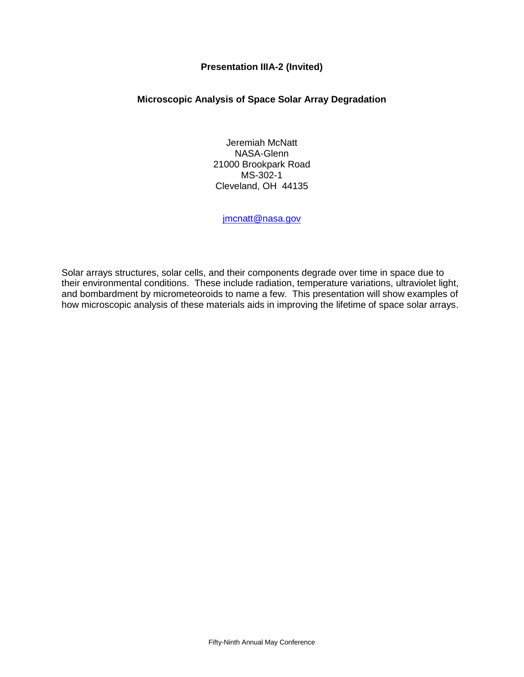## **Presentation IIIA-2 (Invited)**

## **Microscopic Analysis of Space Solar Array Degradation**

Jeremiah McNatt NASA-Glenn 21000 Brookpark Road MS-302-1 Cleveland, OH 44135

[jmcnatt@nasa.gov](mailto:jmcnatt@nasa.gov)

Solar arrays structures, solar cells, and their components degrade over time in space due to their environmental conditions. These include radiation, temperature variations, ultraviolet light, and bombardment by micrometeoroids to name a few. This presentation will show examples of how microscopic analysis of these materials aids in improving the lifetime of space solar arrays.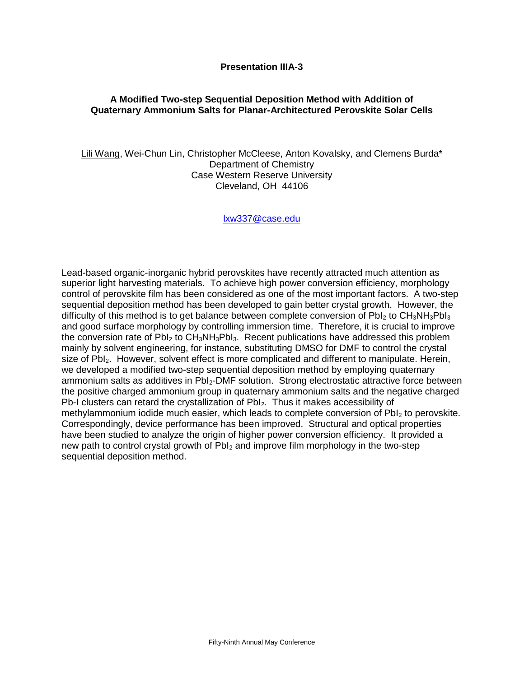## **Presentation IIIA-3**

## **A Modified Two-step Sequential Deposition Method with Addition of Quaternary Ammonium Salts for Planar-Architectured Perovskite Solar Cells**

Lili Wang, Wei-Chun Lin, Christopher McCleese, Anton Kovalsky, and Clemens Burda\* Department of Chemistry Case Western Reserve University Cleveland, OH 44106

#### [lxw337@case.edu](mailto:lxw337@case.edu)

Lead-based organic-inorganic hybrid perovskites have recently attracted much attention as superior light harvesting materials. To achieve high power conversion efficiency, morphology control of perovskite film has been considered as one of the most important factors. A two-step sequential deposition method has been developed to gain better crystal growth. However, the difficulty of this method is to get balance between complete conversion of PbI<sub>2</sub> to CH<sub>3</sub>NH<sub>3</sub>PbI<sub>3</sub> and good surface morphology by controlling immersion time. Therefore, it is crucial to improve the conversion rate of PbI<sub>2</sub> to CH<sub>3</sub>NH<sub>3</sub>PbI<sub>3</sub>. Recent publications have addressed this problem mainly by solvent engineering, for instance, substituting DMSO for DMF to control the crystal size of PbI<sub>2</sub>. However, solvent effect is more complicated and different to manipulate. Herein, we developed a modified two-step sequential deposition method by employing quaternary ammonium salts as additives in PbI<sub>2</sub>-DMF solution. Strong electrostatic attractive force between the positive charged ammonium group in quaternary ammonium salts and the negative charged Pb-I clusters can retard the crystallization of PbI2. Thus it makes accessibility of methylammonium iodide much easier, which leads to complete conversion of PbI<sub>2</sub> to perovskite. Correspondingly, device performance has been improved. Structural and optical properties have been studied to analyze the origin of higher power conversion efficiency. It provided a new path to control crystal growth of PbI<sup>2</sup> and improve film morphology in the two-step sequential deposition method.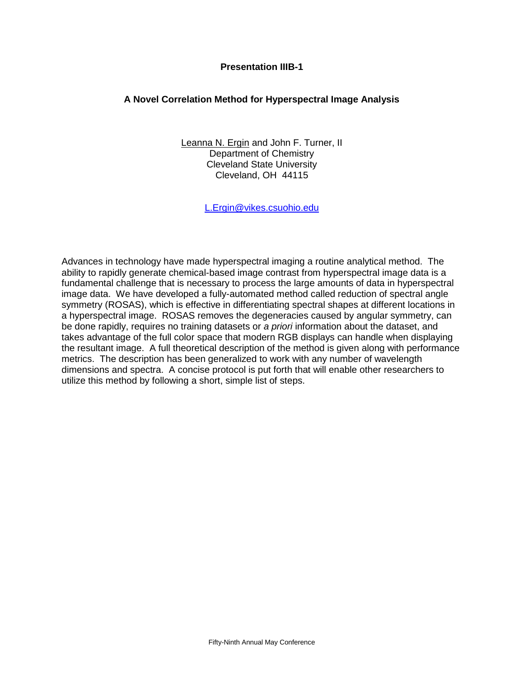## **Presentation IIIB-1**

## **A Novel Correlation Method for Hyperspectral Image Analysis**

Leanna N. Ergin and John F. Turner, II Department of Chemistry Cleveland State University Cleveland, OH 44115

[L.Ergin@vikes.csuohio.edu](mailto:L.Ergin@vikes.csuohio.edu)

Advances in technology have made hyperspectral imaging a routine analytical method. The ability to rapidly generate chemical-based image contrast from hyperspectral image data is a fundamental challenge that is necessary to process the large amounts of data in hyperspectral image data. We have developed a fully-automated method called reduction of spectral angle symmetry (ROSAS), which is effective in differentiating spectral shapes at different locations in a hyperspectral image. ROSAS removes the degeneracies caused by angular symmetry, can be done rapidly, requires no training datasets or *a priori* information about the dataset, and takes advantage of the full color space that modern RGB displays can handle when displaying the resultant image. A full theoretical description of the method is given along with performance metrics. The description has been generalized to work with any number of wavelength dimensions and spectra. A concise protocol is put forth that will enable other researchers to utilize this method by following a short, simple list of steps.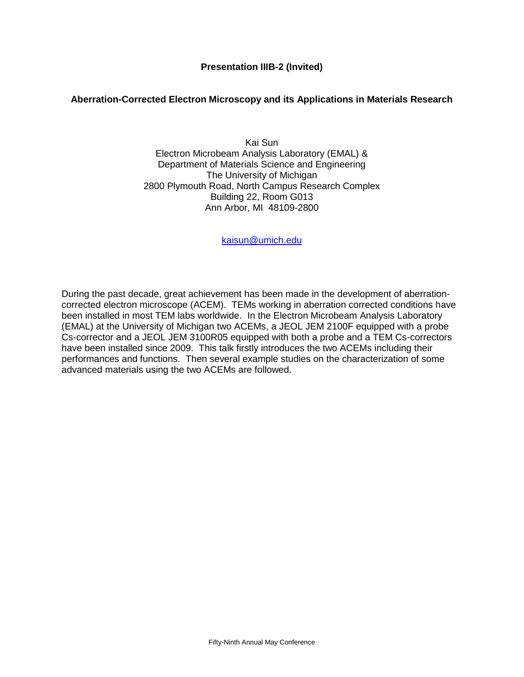## **Aberration-Corrected Electron Microscopy and its Applications in Materials Research**

Kai Sun Electron Microbeam Analysis Laboratory (EMAL) & Department of Materials Science and Engineering The University of Michigan 2800 Plymouth Road, North Campus Research Complex Building 22, Room G013 Ann Arbor, MI 48109-2800

[kaisun@umich.edu](mailto:kaisun@umich.edu)

During the past decade, great achievement has been made in the development of aberrationcorrected electron microscope (ACEM). TEMs working in aberration corrected conditions have been installed in most TEM labs worldwide. In the Electron Microbeam Analysis Laboratory (EMAL) at the University of Michigan two ACEMs, a JEOL JEM 2100F equipped with a probe Cs-corrector and a JEOL JEM 3100R05 equipped with both a probe and a TEM Cs-correctors have been installed since 2009. This talk firstly introduces the two ACEMs including their performances and functions. Then several example studies on the characterization of some advanced materials using the two ACEMs are followed.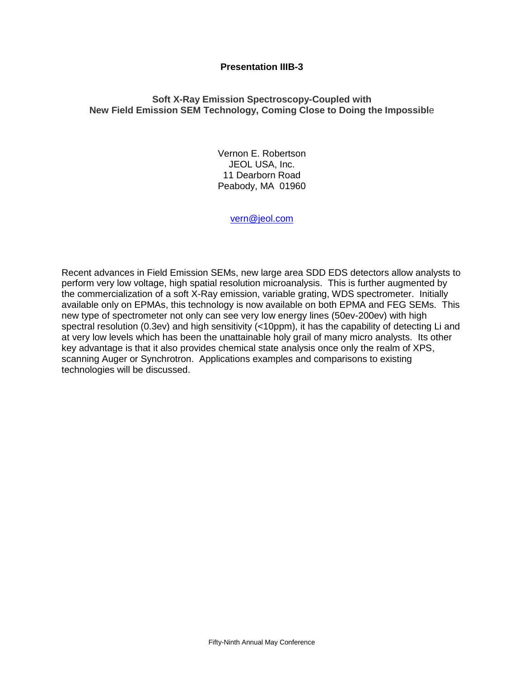## **Presentation IIIB-3**

## **Soft X-Ray Emission Spectroscopy-Coupled with New Field Emission SEM Technology, Coming Close to Doing the Impossibl**e

Vernon E. Robertson JEOL USA, Inc. 11 Dearborn Road Peabody, MA 01960

[vern@jeol.com](mailto:vern@jeol.com)

Recent advances in Field Emission SEMs, new large area SDD EDS detectors allow analysts to perform very low voltage, high spatial resolution microanalysis. This is further augmented by the commercialization of a soft X-Ray emission, variable grating, WDS spectrometer. Initially available only on EPMAs, this technology is now available on both EPMA and FEG SEMs. This new type of spectrometer not only can see very low energy lines (50ev-200ev) with high spectral resolution (0.3ev) and high sensitivity (<10ppm), it has the capability of detecting Li and at very low levels which has been the unattainable holy grail of many micro analysts. Its other key advantage is that it also provides chemical state analysis once only the realm of XPS, scanning Auger or Synchrotron. Applications examples and comparisons to existing technologies will be discussed.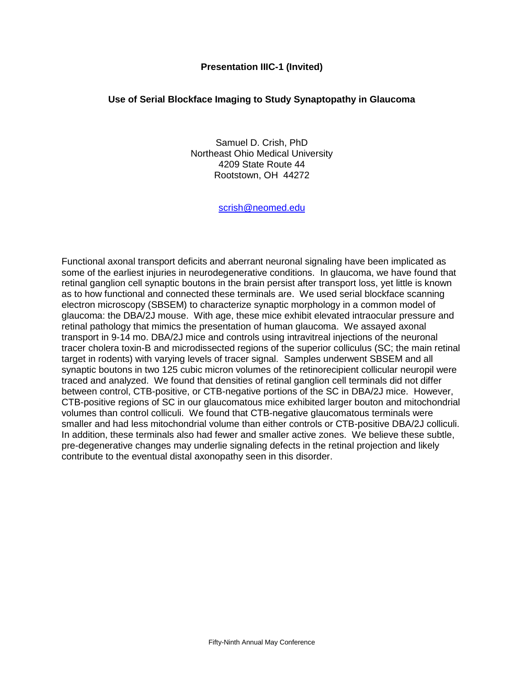## **Presentation IIIC-1 (Invited)**

## **Use of Serial Blockface Imaging to Study Synaptopathy in Glaucoma**

Samuel D. Crish, PhD Northeast Ohio Medical University 4209 State Route 44 Rootstown, OH 44272

[scrish@neomed.edu](mailto:scrish@neomed.edu)

Functional axonal transport deficits and aberrant neuronal signaling have been implicated as some of the earliest injuries in neurodegenerative conditions. In glaucoma, we have found that retinal ganglion cell synaptic boutons in the brain persist after transport loss, yet little is known as to how functional and connected these terminals are. We used serial blockface scanning electron microscopy (SBSEM) to characterize synaptic morphology in a common model of glaucoma: the DBA/2J mouse. With age, these mice exhibit elevated intraocular pressure and retinal pathology that mimics the presentation of human glaucoma. We assayed axonal transport in 9-14 mo. DBA/2J mice and controls using intravitreal injections of the neuronal tracer cholera toxin-B and microdissected regions of the superior colliculus (SC; the main retinal target in rodents) with varying levels of tracer signal. Samples underwent SBSEM and all synaptic boutons in two 125 cubic micron volumes of the retinorecipient collicular neuropil were traced and analyzed. We found that densities of retinal ganglion cell terminals did not differ between control, CTB-positive, or CTB-negative portions of the SC in DBA/2J mice. However, CTB-positive regions of SC in our glaucomatous mice exhibited larger bouton and mitochondrial volumes than control colliculi. We found that CTB-negative glaucomatous terminals were smaller and had less mitochondrial volume than either controls or CTB-positive DBA/2J colliculi. In addition, these terminals also had fewer and smaller active zones. We believe these subtle, pre-degenerative changes may underlie signaling defects in the retinal projection and likely contribute to the eventual distal axonopathy seen in this disorder.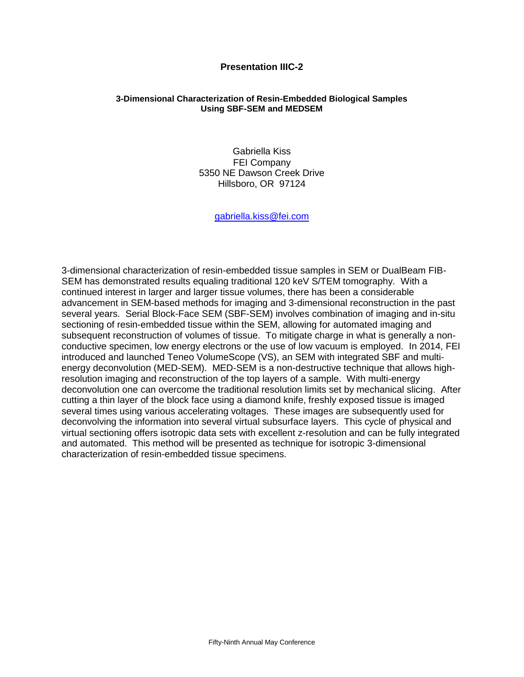#### **Presentation IIIC-2**

#### **3-Dimensional Characterization of Resin-Embedded Biological Samples Using SBF-SEM and MEDSEM**

Gabriella Kiss FEI Company 5350 NE Dawson Creek Drive Hillsboro, OR 97124

[gabriella.kiss@fei.com](mailto:gabriella.kiss@fei.com)

3-dimensional characterization of resin-embedded tissue samples in SEM or DualBeam FIB-SEM has demonstrated results equaling traditional 120 keV S/TEM tomography. With a continued interest in larger and larger tissue volumes, there has been a considerable advancement in SEM-based methods for imaging and 3-dimensional reconstruction in the past several years. Serial Block-Face SEM (SBF-SEM) involves combination of imaging and in-situ sectioning of resin-embedded tissue within the SEM, allowing for automated imaging and subsequent reconstruction of volumes of tissue. To mitigate charge in what is generally a nonconductive specimen, low energy electrons or the use of low vacuum is employed. In 2014, FEI introduced and launched Teneo VolumeScope (VS), an SEM with integrated SBF and multienergy deconvolution (MED-SEM). MED-SEM is a non-destructive technique that allows highresolution imaging and reconstruction of the top layers of a sample. With multi-energy deconvolution one can overcome the traditional resolution limits set by mechanical slicing. After cutting a thin layer of the block face using a diamond knife, freshly exposed tissue is imaged several times using various accelerating voltages. These images are subsequently used for deconvolving the information into several virtual subsurface layers. This cycle of physical and virtual sectioning offers isotropic data sets with excellent z-resolution and can be fully integrated and automated. This method will be presented as technique for isotropic 3-dimensional characterization of resin-embedded tissue specimens.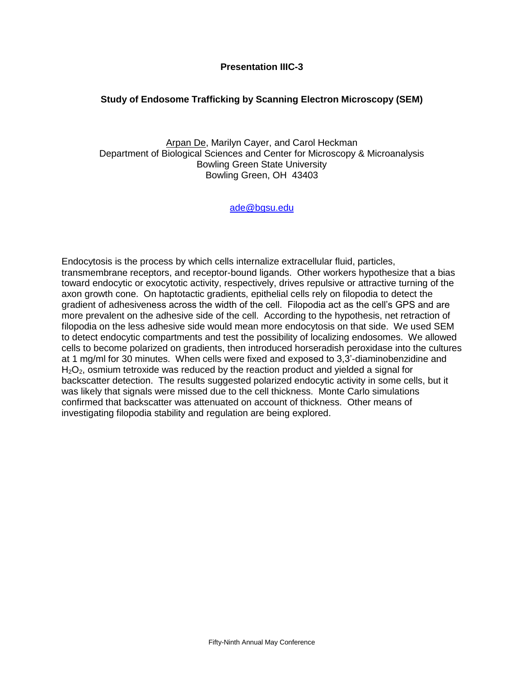## **Presentation IIIC-3**

## **Study of Endosome Trafficking by Scanning Electron Microscopy (SEM)**

Arpan De, Marilyn Cayer, and Carol Heckman Department of Biological Sciences and Center for Microscopy & Microanalysis Bowling Green State University Bowling Green, OH 43403

## [ade@bgsu.edu](mailto:ade@bgsu.edu)

Endocytosis is the process by which cells internalize extracellular fluid, particles, transmembrane receptors, and receptor-bound ligands. Other workers hypothesize that a bias toward endocytic or exocytotic activity, respectively, drives repulsive or attractive turning of the axon growth cone. On haptotactic gradients, epithelial cells rely on filopodia to detect the gradient of adhesiveness across the width of the cell. Filopodia act as the cell's GPS and are more prevalent on the adhesive side of the cell. According to the hypothesis, net retraction of filopodia on the less adhesive side would mean more endocytosis on that side. We used SEM to detect endocytic compartments and test the possibility of localizing endosomes. We allowed cells to become polarized on gradients, then introduced horseradish peroxidase into the cultures at 1 mg/ml for 30 minutes. When cells were fixed and exposed to 3,3'-diaminobenzidine and  $H<sub>2</sub>O<sub>2</sub>$ , osmium tetroxide was reduced by the reaction product and yielded a signal for backscatter detection. The results suggested polarized endocytic activity in some cells, but it was likely that signals were missed due to the cell thickness. Monte Carlo simulations confirmed that backscatter was attenuated on account of thickness. Other means of investigating filopodia stability and regulation are being explored.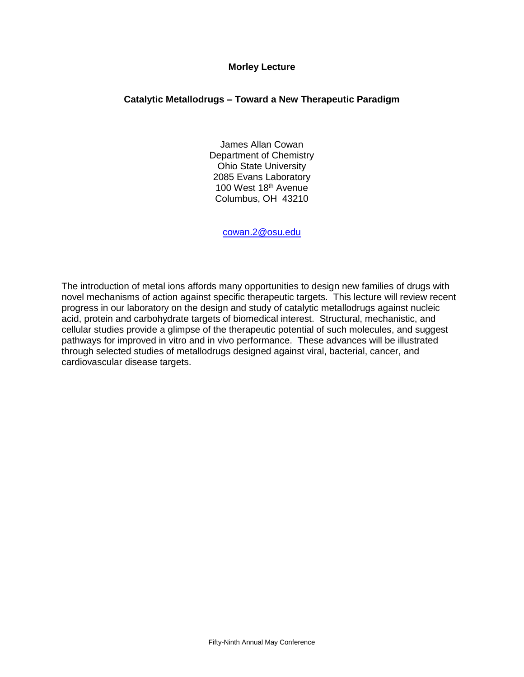## **Morley Lecture**

## **Catalytic Metallodrugs – Toward a New Therapeutic Paradigm**

James Allan Cowan Department of Chemistry Ohio State University 2085 Evans Laboratory 100 West 18<sup>th</sup> Avenue Columbus, OH 43210

[cowan.2@osu.edu](mailto:wlandis@uakron.edu)

The introduction of metal ions affords many opportunities to design new families of drugs with novel mechanisms of action against specific therapeutic targets. This lecture will review recent progress in our laboratory on the design and study of catalytic metallodrugs against nucleic acid, protein and carbohydrate targets of biomedical interest. Structural, mechanistic, and cellular studies provide a glimpse of the therapeutic potential of such molecules, and suggest pathways for improved in vitro and in vivo performance. These advances will be illustrated through selected studies of metallodrugs designed against viral, bacterial, cancer, and cardiovascular disease targets.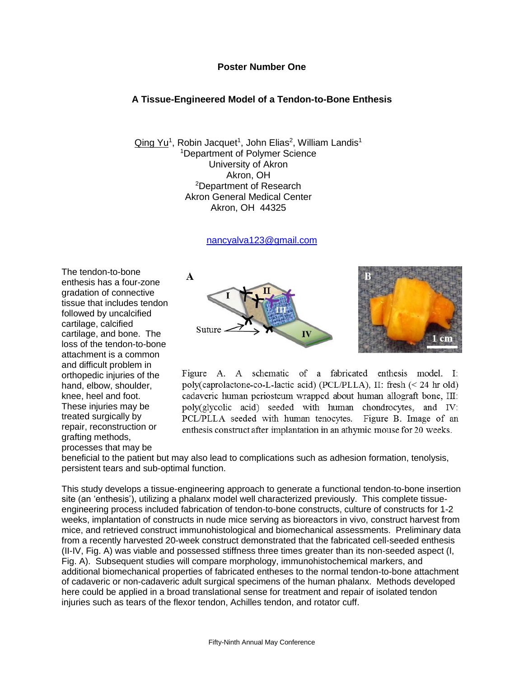#### **Poster Number One**

## **A Tissue-Engineered Model of a Tendon-to-Bone Enthesis**

Qing Yu<sup>1</sup>, Robin Jacquet<sup>1</sup>, John Elias<sup>2</sup>, William Landis<sup>1</sup> <sup>1</sup>Department of Polymer Science University of Akron Akron, OH <sup>2</sup>Department of Research Akron General Medical Center Akron, OH 44325

[nancyalva123@gmail.com](mailto:nancyalva123@gmail.com)

The tendon-to-bone enthesis has a four-zone gradation of connective tissue that includes tendon followed by uncalcified cartilage, calcified cartilage, and bone. The loss of the tendon-to-bone attachment is a common and difficult problem in orthopedic injuries of the hand, elbow, shoulder, knee, heel and foot. These injuries may be treated surgically by repair, reconstruction or grafting methods, processes that may be



Figure A. A schematic of a fabricated enthesis model. I: poly(caprolactone-co-L-lactic acid) (PCL/PLLA), II: fresh (< 24 hr old) cadaveric human periosteum wrapped about human allograft bone, III: poly(glycolic acid) seeded with human chondrocytes, and IV: PCL/PLLA seeded with human tenocytes. Figure B. Image of an enthesis construct after implantation in an athymic mouse for 20 weeks.

beneficial to the patient but may also lead to complications such as adhesion formation, tenolysis, persistent tears and sub-optimal function.

This study develops a tissue-engineering approach to generate a functional tendon-to-bone insertion site (an 'enthesis'), utilizing a phalanx model well characterized previously. This complete tissueengineering process included fabrication of tendon-to-bone constructs, culture of constructs for 1-2 weeks, implantation of constructs in nude mice serving as bioreactors in vivo, construct harvest from mice, and retrieved construct immunohistological and biomechanical assessments. Preliminary data from a recently harvested 20-week construct demonstrated that the fabricated cell-seeded enthesis (II-IV, Fig. A) was viable and possessed stiffness three times greater than its non-seeded aspect (I, Fig. A). Subsequent studies will compare morphology, immunohistochemical markers, and additional biomechanical properties of fabricated entheses to the normal tendon-to-bone attachment of cadaveric or non-cadaveric adult surgical specimens of the human phalanx. Methods developed here could be applied in a broad translational sense for treatment and repair of isolated tendon injuries such as tears of the flexor tendon, Achilles tendon, and rotator cuff.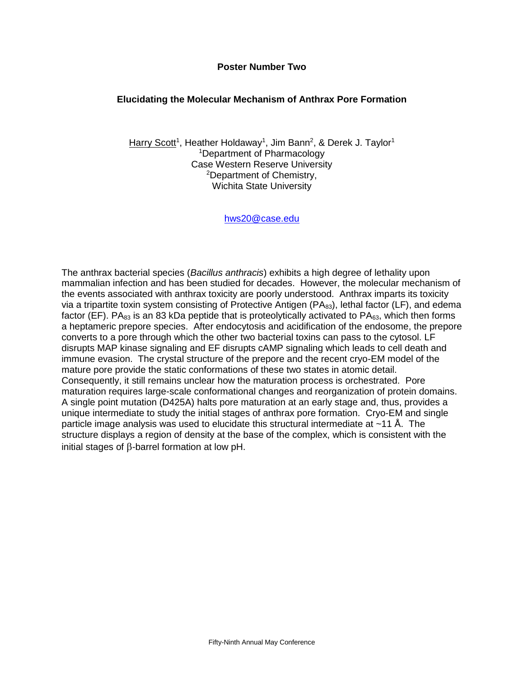#### **Poster Number Two**

## **Elucidating the Molecular Mechanism of Anthrax Pore Formation**

Harry Scott<sup>1</sup>, Heather Holdaway<sup>1</sup>, Jim Bann<sup>2</sup>, & Derek J. Taylor<sup>1</sup> <sup>1</sup>Department of Pharmacology Case Western Reserve University <sup>2</sup>Department of Chemistry, Wichita State University

[hws20@case.edu](mailto:hws20@case.edu)

The anthrax bacterial species (*Bacillus anthracis*) exhibits a high degree of lethality upon mammalian infection and has been studied for decades. However, the molecular mechanism of the events associated with anthrax toxicity are poorly understood. Anthrax imparts its toxicity via a tripartite toxin system consisting of Protective Antigen ( $PA_{83}$ ), lethal factor (LF), and edema factor (EF). PA $_{83}$  is an 83 kDa peptide that is proteolytically activated to PA $_{63}$ , which then forms a heptameric prepore species. After endocytosis and acidification of the endosome, the prepore converts to a pore through which the other two bacterial toxins can pass to the cytosol. LF disrupts MAP kinase signaling and EF disrupts cAMP signaling which leads to cell death and immune evasion. The crystal structure of the prepore and the recent cryo-EM model of the mature pore provide the static conformations of these two states in atomic detail. Consequently, it still remains unclear how the maturation process is orchestrated. Pore maturation requires large-scale conformational changes and reorganization of protein domains. A single point mutation (D425A) halts pore maturation at an early stage and, thus, provides a unique intermediate to study the initial stages of anthrax pore formation. Cryo-EM and single particle image analysis was used to elucidate this structural intermediate at  $\sim$ 11 Å. The structure displays a region of density at the base of the complex, which is consistent with the initial stages of  $\beta$ -barrel formation at low pH.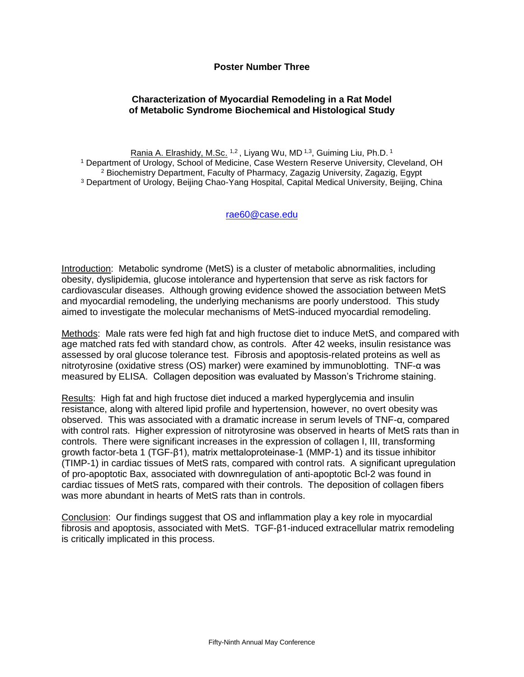## **Poster Number Three**

## **Characterization of Myocardial Remodeling in a Rat Model of Metabolic Syndrome Biochemical and Histological Study**

Rania A. Elrashidy, M.Sc. 1,2, Liyang Wu, MD 1,3, Guiming Liu, Ph.D. 1 Department of Urology, School of Medicine, Case Western Reserve University, Cleveland, OH Biochemistry Department, Faculty of Pharmacy, Zagazig University, Zagazig, Egypt Department of Urology, Beijing Chao-Yang Hospital, Capital Medical University, Beijing, China

[rae60@case.edu](mailto:rae60@case.edu)

Introduction: Metabolic syndrome (MetS) is a cluster of metabolic abnormalities, including obesity, dyslipidemia, glucose intolerance and hypertension that serve as risk factors for cardiovascular diseases. Although growing evidence showed the association between MetS and myocardial remodeling, the underlying mechanisms are poorly understood. This study aimed to investigate the molecular mechanisms of MetS-induced myocardial remodeling.

Methods: Male rats were fed high fat and high fructose diet to induce MetS, and compared with age matched rats fed with standard chow, as controls. After 42 weeks, insulin resistance was assessed by oral glucose tolerance test. Fibrosis and apoptosis-related proteins as well as nitrotyrosine (oxidative stress (OS) marker) were examined by immunoblotting. TNF-α was measured by ELISA. Collagen deposition was evaluated by Masson's Trichrome staining.

Results: High fat and high fructose diet induced a marked hyperglycemia and insulin resistance, along with altered lipid profile and hypertension, however, no overt obesity was observed. This was associated with a dramatic increase in serum levels of TNF-α, compared with control rats. Higher expression of nitrotyrosine was observed in hearts of MetS rats than in controls. There were significant increases in the expression of collagen I, III, transforming growth factor-beta 1 (TGF-β1), matrix mettaloproteinase-1 (MMP-1) and its tissue inhibitor (TIMP-1) in cardiac tissues of MetS rats, compared with control rats. A significant upregulation of pro-apoptotic Bax, associated with downregulation of anti-apoptotic Bcl-2 was found in cardiac tissues of MetS rats, compared with their controls. The deposition of collagen fibers was more abundant in hearts of MetS rats than in controls.

Conclusion: Our findings suggest that OS and inflammation play a key role in myocardial fibrosis and apoptosis, associated with MetS. TGF-β1-induced extracellular matrix remodeling is critically implicated in this process.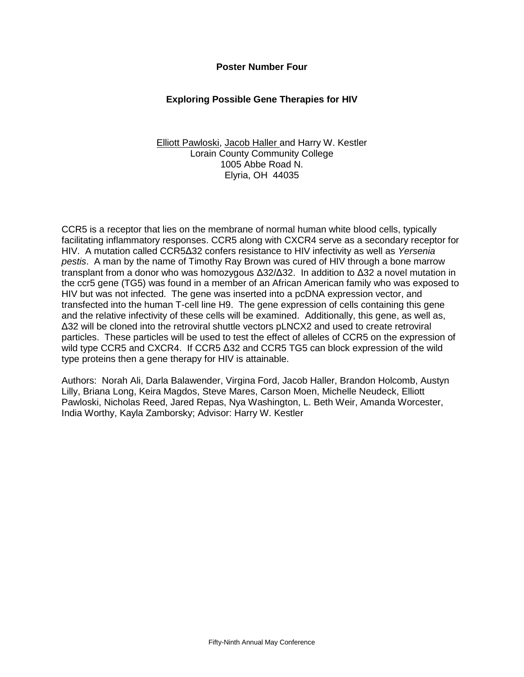#### **Poster Number Four**

## **Exploring Possible Gene Therapies for HIV**

#### Elliott Pawloski, Jacob Haller and Harry W. Kestler Lorain County Community College 1005 Abbe Road N. Elyria, OH 44035

CCR5 is a receptor that lies on the membrane of normal human white blood cells, typically facilitating inflammatory responses. CCR5 along with CXCR4 serve as a secondary receptor for HIV. A mutation called CCR5Δ32 confers resistance to HIV infectivity as well as *Yersenia pestis*. A man by the name of Timothy Ray Brown was cured of HIV through a bone marrow transplant from a donor who was homozygous Δ32/Δ32. In addition to Δ32 a novel mutation in the ccr5 gene (TG5) was found in a member of an African American family who was exposed to HIV but was not infected. The gene was inserted into a pcDNA expression vector, and transfected into the human T-cell line H9. The gene expression of cells containing this gene and the relative infectivity of these cells will be examined. Additionally, this gene, as well as, Δ32 will be cloned into the retroviral shuttle vectors pLNCX2 and used to create retroviral particles. These particles will be used to test the effect of alleles of CCR5 on the expression of wild type CCR5 and CXCR4. If CCR5 Δ32 and CCR5 TG5 can block expression of the wild type proteins then a gene therapy for HIV is attainable.

Authors: Norah Ali, Darla Balawender, Virgina Ford, Jacob Haller, Brandon Holcomb, Austyn Lilly, Briana Long, Keira Magdos, Steve Mares, Carson Moen, Michelle Neudeck, Elliott Pawloski, Nicholas Reed, Jared Repas, Nya Washington, L. Beth Weir, Amanda Worcester, India Worthy, Kayla Zamborsky; Advisor: Harry W. Kestler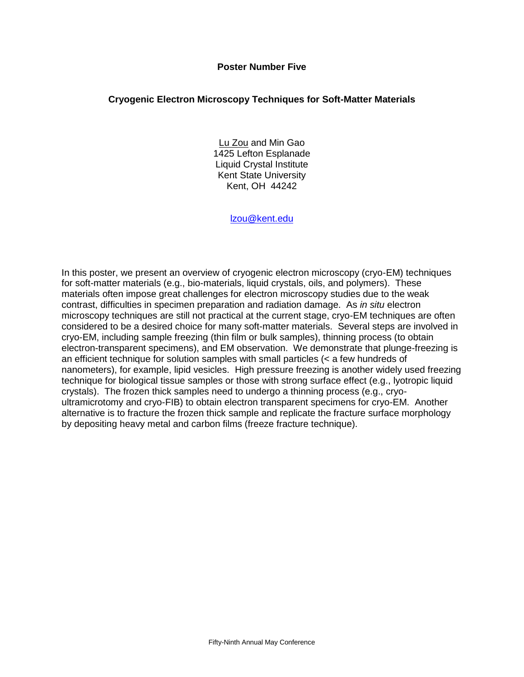#### **Poster Number Five**

#### **Cryogenic Electron Microscopy Techniques for Soft-Matter Materials**

Lu Zou and Min Gao 1425 Lefton Esplanade Liquid Crystal Institute Kent State University Kent, OH 44242

[lzou@kent.edu](mailto:lzou@kent.edu)

In this poster, we present an overview of cryogenic electron microscopy (cryo-EM) techniques for soft-matter materials (e.g., bio-materials, liquid crystals, oils, and polymers). These materials often impose great challenges for electron microscopy studies due to the weak contrast, difficulties in specimen preparation and radiation damage. As *in situ* electron microscopy techniques are still not practical at the current stage, cryo-EM techniques are often considered to be a desired choice for many soft-matter materials. Several steps are involved in cryo-EM, including sample freezing (thin film or bulk samples), thinning process (to obtain electron-transparent specimens), and EM observation. We demonstrate that plunge-freezing is an efficient technique for solution samples with small particles (< a few hundreds of nanometers), for example, lipid vesicles. High pressure freezing is another widely used freezing technique for biological tissue samples or those with strong surface effect (e.g., lyotropic liquid crystals). The frozen thick samples need to undergo a thinning process (e.g., cryoultramicrotomy and cryo-FIB) to obtain electron transparent specimens for cryo-EM. Another alternative is to fracture the frozen thick sample and replicate the fracture surface morphology by depositing heavy metal and carbon films (freeze fracture technique).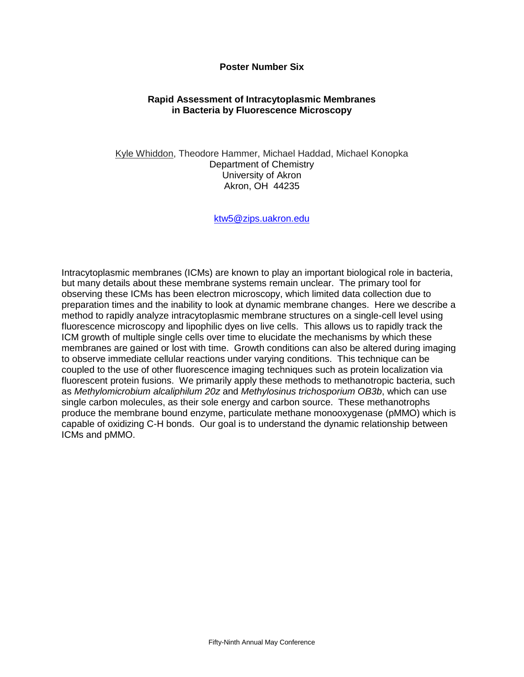#### **Poster Number Six**

## **Rapid Assessment of Intracytoplasmic Membranes in Bacteria by Fluorescence Microscopy**

Kyle Whiddon, Theodore Hammer, Michael Haddad, Michael Konopka Department of Chemistry University of Akron Akron, OH 44235

[ktw5@zips.uakron.edu](mailto:ktw5@zips.uakron.edu)

Intracytoplasmic membranes (ICMs) are known to play an important biological role in bacteria, but many details about these membrane systems remain unclear. The primary tool for observing these ICMs has been electron microscopy, which limited data collection due to preparation times and the inability to look at dynamic membrane changes. Here we describe a method to rapidly analyze intracytoplasmic membrane structures on a single-cell level using fluorescence microscopy and lipophilic dyes on live cells. This allows us to rapidly track the ICM growth of multiple single cells over time to elucidate the mechanisms by which these membranes are gained or lost with time. Growth conditions can also be altered during imaging to observe immediate cellular reactions under varying conditions. This technique can be coupled to the use of other fluorescence imaging techniques such as protein localization via fluorescent protein fusions. We primarily apply these methods to methanotropic bacteria, such as *Methylomicrobium alcaliphilum 20z* and *Methylosinus trichosporium OB3b*, which can use single carbon molecules, as their sole energy and carbon source. These methanotrophs produce the membrane bound enzyme, particulate methane monooxygenase (pMMO) which is capable of oxidizing C-H bonds. Our goal is to understand the dynamic relationship between ICMs and pMMO.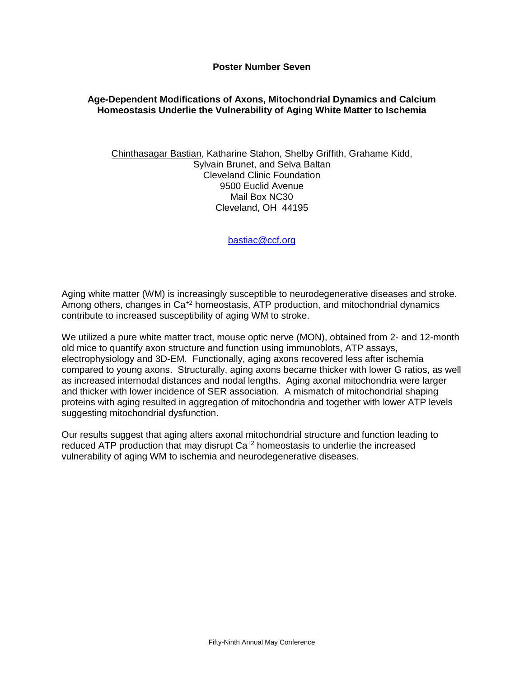#### **Poster Number Seven**

## **Age-Dependent Modifications of Axons, Mitochondrial Dynamics and Calcium Homeostasis Underlie the Vulnerability of Aging White Matter to Ischemia**

#### Chinthasagar Bastian, Katharine Stahon, Shelby Griffith, Grahame Kidd, Sylvain Brunet, and Selva Baltan Cleveland Clinic Foundation 9500 Euclid Avenue Mail Box NC30 Cleveland, OH 44195

[bastiac@ccf.org](mailto:bastiac@ccf.org)

Aging white matter (WM) is increasingly susceptible to neurodegenerative diseases and stroke. Among others, changes in Ca+2 homeostasis, ATP production, and mitochondrial dynamics contribute to increased susceptibility of aging WM to stroke.

We utilized a pure white matter tract, mouse optic nerve (MON), obtained from 2- and 12-month old mice to quantify axon structure and function using immunoblots, ATP assays, electrophysiology and 3D-EM. Functionally, aging axons recovered less after ischemia compared to young axons. Structurally, aging axons became thicker with lower G ratios, as well as increased internodal distances and nodal lengths. Aging axonal mitochondria were larger and thicker with lower incidence of SER association. A mismatch of mitochondrial shaping proteins with aging resulted in aggregation of mitochondria and together with lower ATP levels suggesting mitochondrial dysfunction.

Our results suggest that aging alters axonal mitochondrial structure and function leading to reduced ATP production that may disrupt  $Ca<sup>+2</sup>$  homeostasis to underlie the increased vulnerability of aging WM to ischemia and neurodegenerative diseases.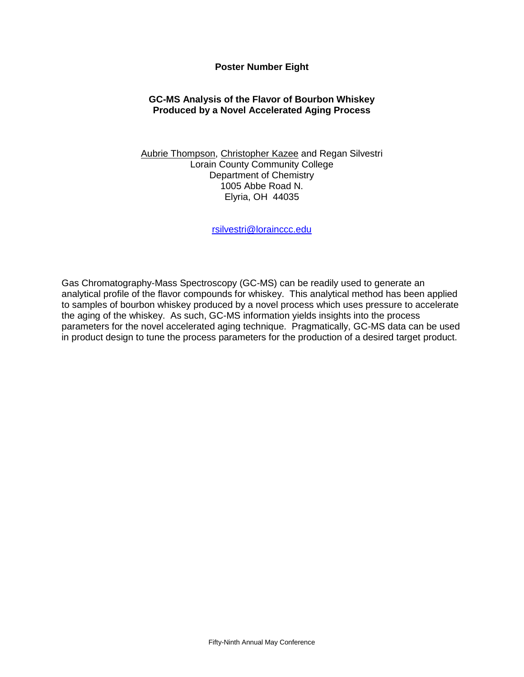## **Poster Number Eight**

## **GC-MS Analysis of the Flavor of Bourbon Whiskey Produced by a Novel Accelerated Aging Process**

Aubrie Thompson, Christopher Kazee and Regan Silvestri Lorain County Community College Department of Chemistry 1005 Abbe Road N. Elyria, OH 44035

[rsilvestri@lorainccc.edu](mailto:rsilvestri@lorainccc.edu)

Gas Chromatography-Mass Spectroscopy (GC-MS) can be readily used to generate an analytical profile of the flavor compounds for whiskey. This analytical method has been applied to samples of bourbon whiskey produced by a novel process which uses pressure to accelerate the aging of the whiskey. As such, GC-MS information yields insights into the process parameters for the novel accelerated aging technique. Pragmatically, GC-MS data can be used in product design to tune the process parameters for the production of a desired target product.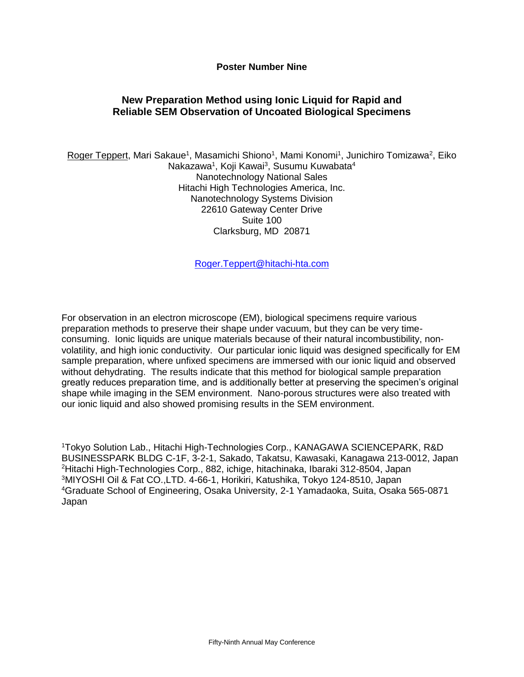## **Poster Number Nine**

## **New Preparation Method using Ionic Liquid for Rapid and Reliable SEM Observation of Uncoated Biological Specimens**

Roger Teppert, Mari Sakaue<sup>1</sup>, Masamichi Shiono<sup>1</sup>, Mami Konomi<sup>1</sup>, Junichiro Tomizawa<sup>2</sup>, Eiko Nakazawa<sup>1</sup>, Koji Kawai<sup>3</sup>, Susumu Kuwabata<sup>4</sup> Nanotechnology National Sales Hitachi High Technologies America, Inc. Nanotechnology Systems Division 22610 Gateway Center Drive Suite 100 Clarksburg, MD 20871

[Roger.Teppert@hitachi-hta.com](mailto:Roger.Teppert@hitachi-hta.com)

For observation in an electron microscope (EM), biological specimens require various preparation methods to preserve their shape under vacuum, but they can be very timeconsuming. Ionic liquids are unique materials because of their natural incombustibility, nonvolatility, and high ionic conductivity. Our particular ionic liquid was designed specifically for EM sample preparation, where unfixed specimens are immersed with our ionic liquid and observed without dehydrating. The results indicate that this method for biological sample preparation greatly reduces preparation time, and is additionally better at preserving the specimen's original shape while imaging in the SEM environment. Nano-porous structures were also treated with our ionic liquid and also showed promising results in the SEM environment.

Tokyo Solution Lab., Hitachi High-Technologies Corp., KANAGAWA SCIENCEPARK, R&D BUSINESSPARK BLDG C-1F, 3-2-1, Sakado, Takatsu, Kawasaki, Kanagawa 213-0012, Japan Hitachi High-Technologies Corp., 882, ichige, hitachinaka, Ibaraki 312-8504, Japan MIYOSHI Oil & Fat CO.,LTD. 4-66-1, Horikiri, Katushika, Tokyo 124-8510, Japan Graduate School of Engineering, Osaka University, 2-1 Yamadaoka, Suita, Osaka 565-0871 Japan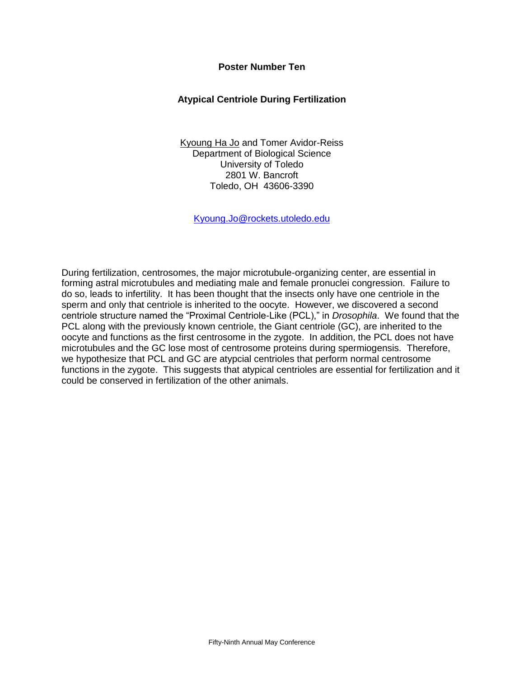#### **Poster Number Ten**

## **Atypical Centriole During Fertilization**

Kyoung Ha Jo and Tomer Avidor-Reiss Department of Biological Science University of Toledo 2801 W. Bancroft Toledo, OH 43606-3390

[Kyoung.Jo@rockets.utoledo.edu](mailto:Kyoung.Jo@rockets.utoledo.edu)

During fertilization, centrosomes, the major microtubule-organizing center, are essential in forming astral microtubules and mediating male and female pronuclei congression. Failure to do so, leads to infertility. It has been thought that the insects only have one centriole in the sperm and only that centriole is inherited to the oocyte. However, we discovered a second centriole structure named the "Proximal Centriole-Like (PCL)," in *Drosophila*. We found that the PCL along with the previously known centriole, the Giant centriole (GC), are inherited to the oocyte and functions as the first centrosome in the zygote. In addition, the PCL does not have microtubules and the GC lose most of centrosome proteins during spermiogensis. Therefore, we hypothesize that PCL and GC are atypcial centrioles that perform normal centrosome functions in the zygote. This suggests that atypical centrioles are essential for fertilization and it could be conserved in fertilization of the other animals.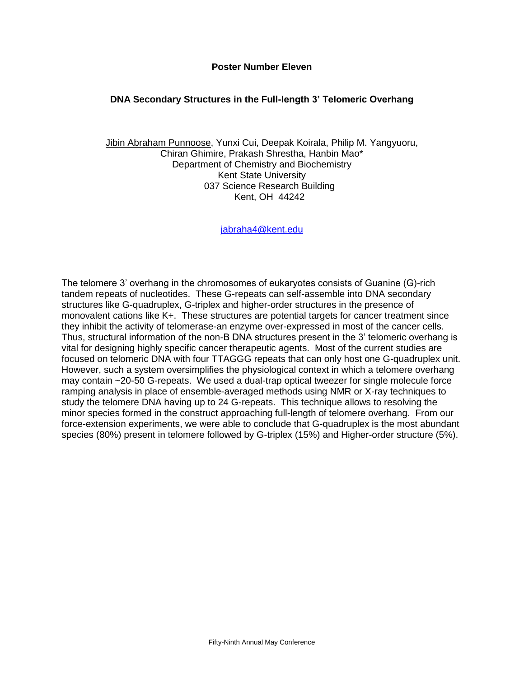#### **Poster Number Eleven**

## **DNA Secondary Structures in the Full-length 3' Telomeric Overhang**

Jibin Abraham Punnoose, Yunxi Cui, Deepak Koirala, Philip M. Yangyuoru, Chiran Ghimire, Prakash Shrestha, Hanbin Mao\* Department of Chemistry and Biochemistry Kent State University 037 Science Research Building Kent, OH 44242

[jabraha4@kent.edu](mailto:jabraha4@kent.edu)

The telomere 3' overhang in the chromosomes of eukaryotes consists of Guanine (G)-rich tandem repeats of nucleotides. These G-repeats can self-assemble into DNA secondary structures like G-quadruplex, G-triplex and higher-order structures in the presence of monovalent cations like K+. These structures are potential targets for cancer treatment since they inhibit the activity of telomerase-an enzyme over-expressed in most of the cancer cells. Thus, structural information of the non-B DNA structures present in the 3' telomeric overhang is vital for designing highly specific cancer therapeutic agents. Most of the current studies are focused on telomeric DNA with four TTAGGG repeats that can only host one G-quadruplex unit. However, such a system oversimplifies the physiological context in which a telomere overhang may contain ~20-50 G-repeats. We used a dual-trap optical tweezer for single molecule force ramping analysis in place of ensemble-averaged methods using NMR or X-ray techniques to study the telomere DNA having up to 24 G-repeats. This technique allows to resolving the minor species formed in the construct approaching full-length of telomere overhang. From our force-extension experiments, we were able to conclude that G-quadruplex is the most abundant species (80%) present in telomere followed by G-triplex (15%) and Higher-order structure (5%).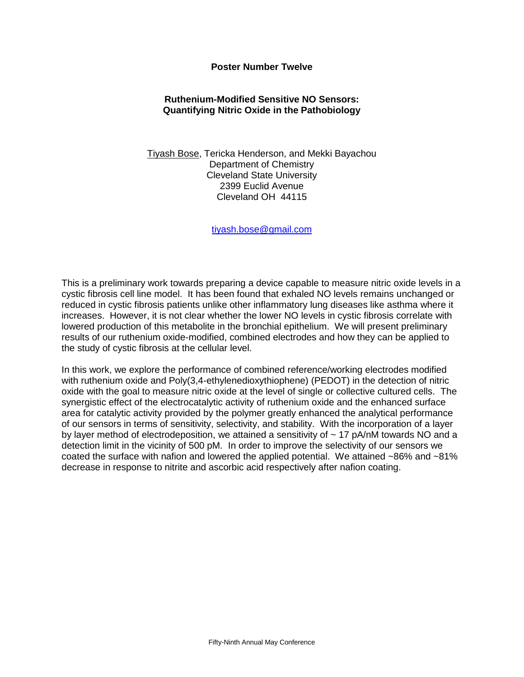#### **Poster Number Twelve**

## **Ruthenium-Modified Sensitive NO Sensors: Quantifying Nitric Oxide in the Pathobiology**

Tiyash Bose, Tericka Henderson, and Mekki Bayachou Department of Chemistry Cleveland State University 2399 Euclid Avenue Cleveland OH 44115

[tiyash.bose@gmail.com](mailto:tiyash.bose@gmail.com)

This is a preliminary work towards preparing a device capable to measure nitric oxide levels in a cystic fibrosis cell line model. It has been found that exhaled NO levels remains unchanged or reduced in cystic fibrosis patients unlike other inflammatory lung diseases like asthma where it increases. However, it is not clear whether the lower NO levels in cystic fibrosis correlate with lowered production of this metabolite in the bronchial epithelium. We will present preliminary results of our ruthenium oxide-modified, combined electrodes and how they can be applied to the study of cystic fibrosis at the cellular level.

In this work, we explore the performance of combined reference/working electrodes modified with ruthenium oxide and Poly(3,4-ethylenedioxythiophene) (PEDOT) in the detection of nitric oxide with the goal to measure nitric oxide at the level of single or collective cultured cells. The synergistic effect of the electrocatalytic activity of ruthenium oxide and the enhanced surface area for catalytic activity provided by the polymer greatly enhanced the analytical performance of our sensors in terms of sensitivity, selectivity, and stability. With the incorporation of a layer by layer method of electrodeposition, we attained a sensitivity of  $\sim$  17 pA/nM towards NO and a detection limit in the vicinity of 500 pM. In order to improve the selectivity of our sensors we coated the surface with nafion and lowered the applied potential. We attained ~86% and ~81% decrease in response to nitrite and ascorbic acid respectively after nafion coating.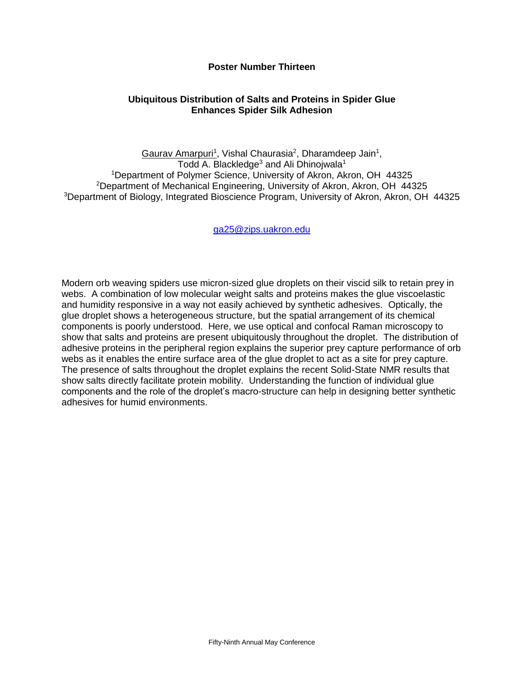## **Poster Number Thirteen**

## **Ubiquitous Distribution of Salts and Proteins in Spider Glue Enhances Spider Silk Adhesion**

Gaurav Amarpuri<sup>1</sup>, Vishal Chaurasia<sup>2</sup>, Dharamdeep Jain<sup>1</sup>, Todd A. Blackledge<sup>3</sup> and Ali Dhinojwala<sup>1</sup> <sup>1</sup>Department of Polymer Science, University of Akron, Akron, OH 44325 <sup>2</sup>Department of Mechanical Engineering, University of Akron, Akron, OH 44325 <sup>3</sup>Department of Biology, Integrated Bioscience Program, University of Akron, Akron, OH 44325

[ga25@zips.uakron.edu](mailto:ga25@zips.uakron.edu)

Modern orb weaving spiders use micron-sized glue droplets on their viscid silk to retain prey in webs. A combination of low molecular weight salts and proteins makes the glue viscoelastic and humidity responsive in a way not easily achieved by synthetic adhesives. Optically, the glue droplet shows a heterogeneous structure, but the spatial arrangement of its chemical components is poorly understood. Here, we use optical and confocal Raman microscopy to show that salts and proteins are present ubiquitously throughout the droplet. The distribution of adhesive proteins in the peripheral region explains the superior prey capture performance of orb webs as it enables the entire surface area of the glue droplet to act as a site for prey capture. The presence of salts throughout the droplet explains the recent Solid-State NMR results that show salts directly facilitate protein mobility. Understanding the function of individual glue components and the role of the droplet's macro-structure can help in designing better synthetic adhesives for humid environments.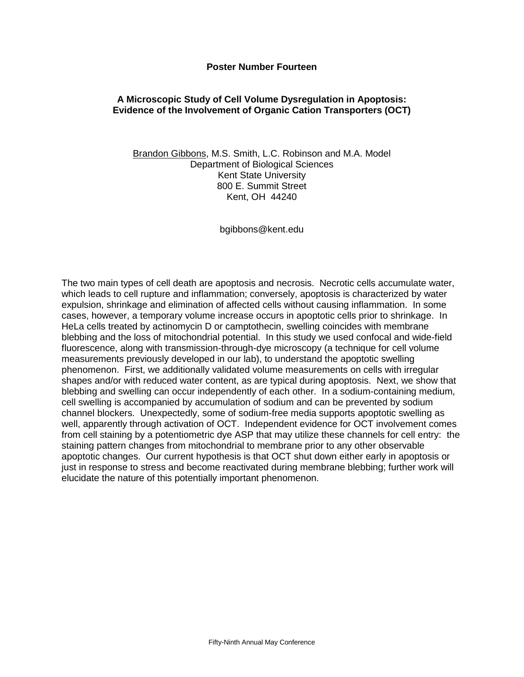#### **Poster Number Fourteen**

## **A Microscopic Study of Cell Volume Dysregulation in Apoptosis: Evidence of the Involvement of Organic Cation Transporters (OCT)**

Brandon Gibbons, M.S. Smith, L.C. Robinson and M.A. Model Department of Biological Sciences Kent State University 800 E. Summit Street Kent, OH 44240

bgibbons@kent.edu

The two main types of cell death are apoptosis and necrosis. Necrotic cells accumulate water, which leads to cell rupture and inflammation; conversely, apoptosis is characterized by water expulsion, shrinkage and elimination of affected cells without causing inflammation. In some cases, however, a temporary volume increase occurs in apoptotic cells prior to shrinkage. In HeLa cells treated by actinomycin D or camptothecin, swelling coincides with membrane blebbing and the loss of mitochondrial potential. In this study we used confocal and wide-field fluorescence, along with transmission-through-dye microscopy (a technique for cell volume measurements previously developed in our lab), to understand the apoptotic swelling phenomenon. First, we additionally validated volume measurements on cells with irregular shapes and/or with reduced water content, as are typical during apoptosis. Next, we show that blebbing and swelling can occur independently of each other. In a sodium-containing medium, cell swelling is accompanied by accumulation of sodium and can be prevented by sodium channel blockers. Unexpectedly, some of sodium-free media supports apoptotic swelling as well, apparently through activation of OCT. Independent evidence for OCT involvement comes from cell staining by a potentiometric dye ASP that may utilize these channels for cell entry: the staining pattern changes from mitochondrial to membrane prior to any other observable apoptotic changes. Our current hypothesis is that OCT shut down either early in apoptosis or just in response to stress and become reactivated during membrane blebbing; further work will elucidate the nature of this potentially important phenomenon.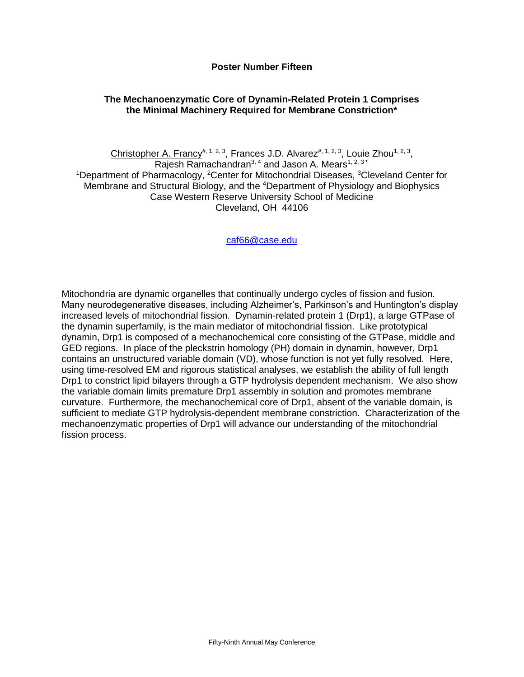## **Poster Number Fifteen**

## **The Mechanoenzymatic Core of Dynamin-Related Protein 1 Comprises the Minimal Machinery Required for Membrane Constriction\***

Christopher A. Francy<sup>#, 1, 2, 3</sup>, Frances J.D. Alvarez<sup>#, 1, 2, 3</sup>, Louie Zhou<sup>1, 2, 3</sup>, Rajesh Ramachandran<sup>3, 4</sup> and Jason A. Mears<sup>1, 2, 31</sup> <sup>1</sup>Department of Pharmacology, <sup>2</sup>Center for Mitochondrial Diseases, <sup>3</sup>Cleveland Center for Membrane and Structural Biology, and the <sup>4</sup>Department of Physiology and Biophysics Case Western Reserve University School of Medicine Cleveland, OH 44106

[caf66@case.edu](mailto:caf66@case.edu)

Mitochondria are dynamic organelles that continually undergo cycles of fission and fusion. Many neurodegenerative diseases, including Alzheimer's, Parkinson's and Huntington's display increased levels of mitochondrial fission. Dynamin-related protein 1 (Drp1), a large GTPase of the dynamin superfamily, is the main mediator of mitochondrial fission. Like prototypical dynamin, Drp1 is composed of a mechanochemical core consisting of the GTPase, middle and GED regions. In place of the pleckstrin homology (PH) domain in dynamin, however, Drp1 contains an unstructured variable domain (VD), whose function is not yet fully resolved. Here, using time-resolved EM and rigorous statistical analyses, we establish the ability of full length Drp1 to constrict lipid bilayers through a GTP hydrolysis dependent mechanism. We also show the variable domain limits premature Drp1 assembly in solution and promotes membrane curvature. Furthermore, the mechanochemical core of Drp1, absent of the variable domain, is sufficient to mediate GTP hydrolysis-dependent membrane constriction. Characterization of the mechanoenzymatic properties of Drp1 will advance our understanding of the mitochondrial fission process.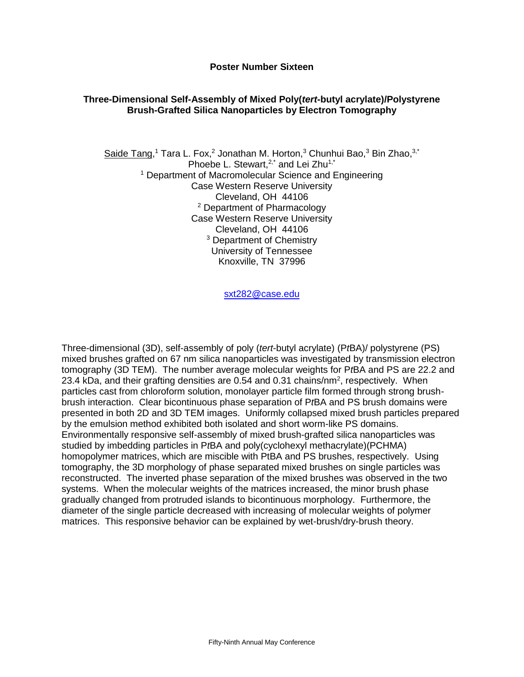#### **Poster Number Sixteen**

## **Three-Dimensional Self-Assembly of Mixed Poly(***tert***-butyl acrylate)/Polystyrene Brush-Grafted Silica Nanoparticles by Electron Tomography**

Saide Tang,<sup>1</sup> Tara L. Fox,<sup>2</sup> Jonathan M. Horton,<sup>3</sup> Chunhui Bao,<sup>3</sup> Bin Zhao,<sup>3,\*</sup> Phoebe L. Stewart,<sup>2,\*</sup> and Lei Zhu<sup>1,\*</sup> <sup>1</sup> Department of Macromolecular Science and Engineering Case Western Reserve University Cleveland, OH 44106 <sup>2</sup> Department of Pharmacology Case Western Reserve University Cleveland, OH 44106 <sup>3</sup> Department of Chemistry University of Tennessee Knoxville, TN 37996

[sxt282@case.edu](mailto:sxt282@case.edu)

Three-dimensional (3D), self-assembly of poly (*tert*-butyl acrylate) (P*t*BA)/ polystyrene (PS) mixed brushes grafted on 67 nm silica nanoparticles was investigated by transmission electron tomography (3D TEM). The number average molecular weights for P*t*BA and PS are 22.2 and 23.4 kDa, and their grafting densities are 0.54 and 0.31 chains/nm<sup>2</sup>, respectively. When particles cast from chloroform solution, monolayer particle film formed through strong brushbrush interaction. Clear bicontinuous phase separation of P*t*BA and PS brush domains were presented in both 2D and 3D TEM images. Uniformly collapsed mixed brush particles prepared by the emulsion method exhibited both isolated and short worm-like PS domains. Environmentally responsive self-assembly of mixed brush-grafted silica nanoparticles was studied by imbedding particles in P*t*BA and poly(cyclohexyl methacrylate)(PCHMA) homopolymer matrices, which are miscible with PtBA and PS brushes, respectively. Using tomography, the 3D morphology of phase separated mixed brushes on single particles was reconstructed. The inverted phase separation of the mixed brushes was observed in the two systems. When the molecular weights of the matrices increased, the minor brush phase gradually changed from protruded islands to bicontinuous morphology. Furthermore, the diameter of the single particle decreased with increasing of molecular weights of polymer matrices. This responsive behavior can be explained by wet-brush/dry-brush theory.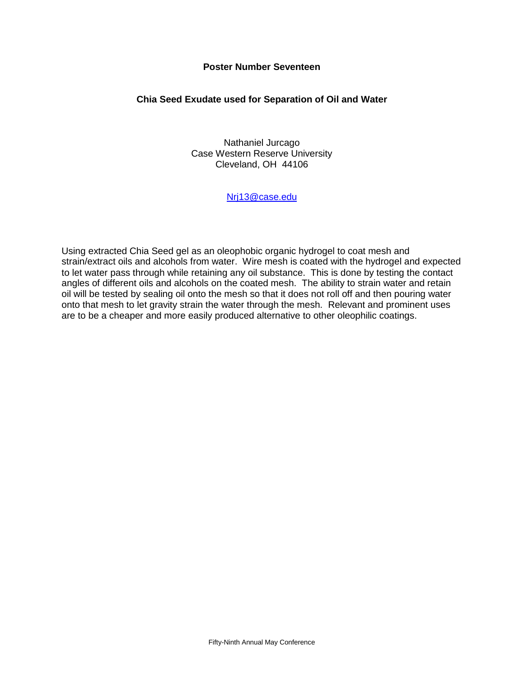#### **Poster Number Seventeen**

#### **Chia Seed Exudate used for Separation of Oil and Water**

Nathaniel Jurcago Case Western Reserve University Cleveland, OH 44106

#### [Nrj13@case.edu](mailto:Nrj13@case.edu)

Using extracted Chia Seed gel as an oleophobic organic hydrogel to coat mesh and strain/extract oils and alcohols from water. Wire mesh is coated with the hydrogel and expected to let water pass through while retaining any oil substance. This is done by testing the contact angles of different oils and alcohols on the coated mesh. The ability to strain water and retain oil will be tested by sealing oil onto the mesh so that it does not roll off and then pouring water onto that mesh to let gravity strain the water through the mesh. Relevant and prominent uses are to be a cheaper and more easily produced alternative to other oleophilic coatings.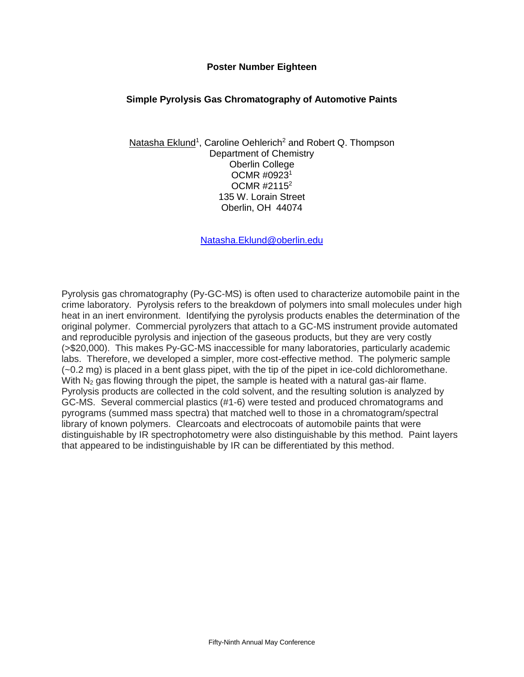#### **Poster Number Eighteen**

## **Simple Pyrolysis Gas Chromatography of Automotive Paints**

Natasha Eklund<sup>1</sup>, Caroline Oehlerich<sup>2</sup> and Robert Q. Thompson Department of Chemistry Oberlin College OCMR #0923<sup>1</sup> OCMR #2115<sup>2</sup> 135 W. Lorain Street Oberlin, OH 44074

[Natasha.Eklund@oberlin.edu](mailto:Natasha.Eklund@oberlin.edu)

Pyrolysis gas chromatography (Py-GC-MS) is often used to characterize automobile paint in the crime laboratory. Pyrolysis refers to the breakdown of polymers into small molecules under high heat in an inert environment. Identifying the pyrolysis products enables the determination of the original polymer. Commercial pyrolyzers that attach to a GC-MS instrument provide automated and reproducible pyrolysis and injection of the gaseous products, but they are very costly (>\$20,000). This makes Py-GC-MS inaccessible for many laboratories, particularly academic labs. Therefore, we developed a simpler, more cost-effective method. The polymeric sample  $(-0.2 \text{ mg})$  is placed in a bent glass pipet, with the tip of the pipet in ice-cold dichloromethane. With  $N_2$  gas flowing through the pipet, the sample is heated with a natural gas-air flame. Pyrolysis products are collected in the cold solvent, and the resulting solution is analyzed by GC-MS. Several commercial plastics (#1-6) were tested and produced chromatograms and pyrograms (summed mass spectra) that matched well to those in a chromatogram/spectral library of known polymers. Clearcoats and electrocoats of automobile paints that were distinguishable by IR spectrophotometry were also distinguishable by this method. Paint layers that appeared to be indistinguishable by IR can be differentiated by this method.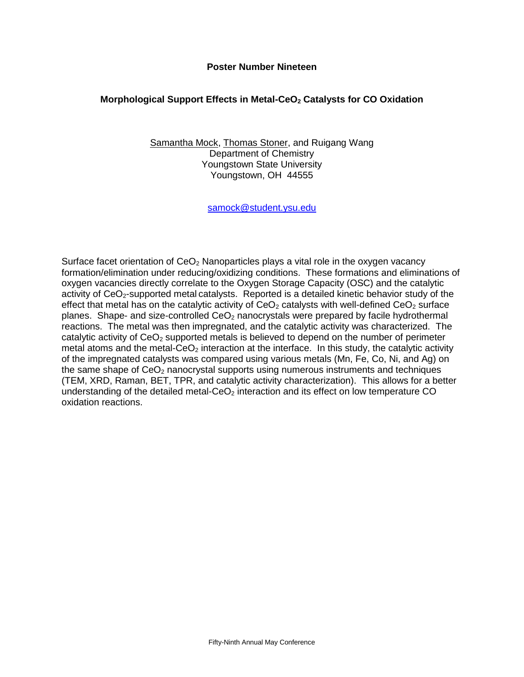#### **Poster Number Nineteen**

## **Morphological Support Effects in Metal-CeO<sup>2</sup> Catalysts for CO Oxidation**

Samantha Mock, Thomas Stoner, and Ruigang Wang Department of Chemistry Youngstown State University Youngstown, OH 44555

[samock@student.ysu.edu](mailto:samock@student.ysu.edu)

Surface facet orientation of  $CeO<sub>2</sub>$  Nanoparticles plays a vital role in the oxygen vacancy formation/elimination under reducing/oxidizing conditions. These formations and eliminations of oxygen vacancies directly correlate to the Oxygen Storage Capacity (OSC) and the catalytic activity of CeO2-supported metal catalysts. Reported is a detailed kinetic behavior study of the effect that metal has on the catalytic activity of  $CeO<sub>2</sub>$  catalysts with well-defined  $CeO<sub>2</sub>$  surface planes. Shape- and size-controlled  $CeO<sub>2</sub>$  nanocrystals were prepared by facile hydrothermal reactions. The metal was then impregnated, and the catalytic activity was characterized. The catalytic activity of  $CeO<sub>2</sub>$  supported metals is believed to depend on the number of perimeter metal atoms and the metal-CeO<sub>2</sub> interaction at the interface. In this study, the catalytic activity of the impregnated catalysts was compared using various metals (Mn, Fe, Co, Ni, and Ag) on the same shape of  $CeO<sub>2</sub>$  nanocrystal supports using numerous instruments and techniques (TEM, XRD, Raman, BET, TPR, and catalytic activity characterization). This allows for a better understanding of the detailed metal- $CeO<sub>2</sub>$  interaction and its effect on low temperature CO oxidation reactions.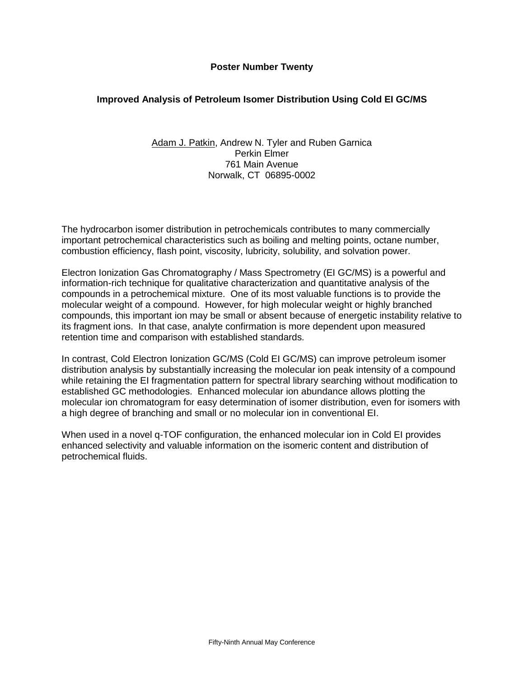## **Poster Number Twenty**

## **Improved Analysis of Petroleum Isomer Distribution Using Cold EI GC/MS**

#### Adam J. Patkin, Andrew N. Tyler and Ruben Garnica Perkin Elmer 761 Main Avenue Norwalk, CT 06895-0002

The hydrocarbon isomer distribution in petrochemicals contributes to many commercially important petrochemical characteristics such as boiling and melting points, octane number, combustion efficiency, flash point, viscosity, lubricity, solubility, and solvation power.

Electron Ionization Gas Chromatography / Mass Spectrometry (EI GC/MS) is a powerful and information-rich technique for qualitative characterization and quantitative analysis of the compounds in a petrochemical mixture. One of its most valuable functions is to provide the molecular weight of a compound. However, for high molecular weight or highly branched compounds, this important ion may be small or absent because of energetic instability relative to its fragment ions. In that case, analyte confirmation is more dependent upon measured retention time and comparison with established standards.

In contrast, Cold Electron Ionization GC/MS (Cold EI GC/MS) can improve petroleum isomer distribution analysis by substantially increasing the molecular ion peak intensity of a compound while retaining the EI fragmentation pattern for spectral library searching without modification to established GC methodologies. Enhanced molecular ion abundance allows plotting the molecular ion chromatogram for easy determination of isomer distribution, even for isomers with a high degree of branching and small or no molecular ion in conventional EI.

When used in a novel q-TOF configuration, the enhanced molecular ion in Cold EI provides enhanced selectivity and valuable information on the isomeric content and distribution of petrochemical fluids.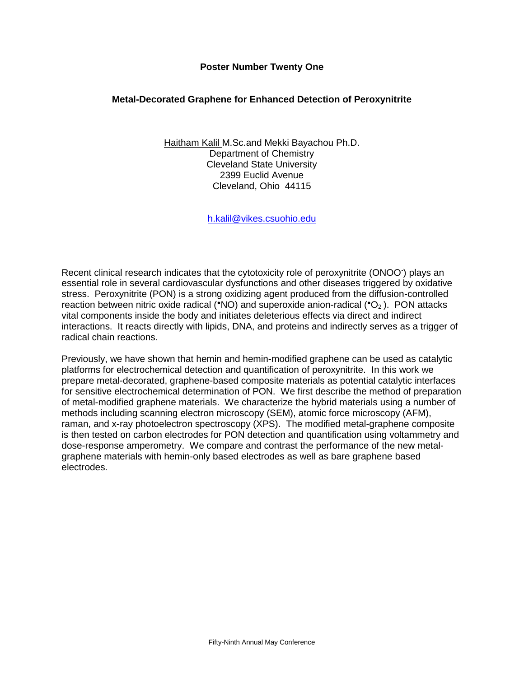## **Poster Number Twenty One**

## **Metal-Decorated Graphene for Enhanced Detection of Peroxynitrite**

Haitham Kalil M.Sc.and Mekki Bayachou Ph.D. Department of Chemistry Cleveland State University 2399 Euclid Avenue Cleveland, Ohio 44115

[h.kalil@vikes.csuohio.edu](mailto:h.kalil@vikes.csuohio.edu)

Recent clinical research indicates that the cytotoxicity role of peroxynitrite (ONOO<sup>-</sup>) plays an essential role in several cardiovascular dysfunctions and other diseases triggered by oxidative stress. Peroxynitrite (PON) is a strong oxidizing agent produced from the diffusion-controlled reaction between nitric oxide radical ( $NO$ ) and superoxide anion-radical ( $O<sub>2</sub>$ ). PON attacks vital components inside the body and initiates deleterious effects via direct and indirect interactions. It reacts directly with lipids, DNA, and proteins and indirectly serves as a trigger of radical chain reactions.

Previously, we have shown that hemin and hemin-modified graphene can be used as catalytic platforms for electrochemical detection and quantification of peroxynitrite. In this work we prepare metal-decorated, graphene-based composite materials as potential catalytic interfaces for sensitive electrochemical determination of PON. We first describe the method of preparation of metal-modified graphene materials. We characterize the hybrid materials using a number of methods including scanning electron microscopy (SEM), atomic force microscopy (AFM), raman, and x-ray photoelectron spectroscopy (XPS). The modified metal-graphene composite is then tested on carbon electrodes for PON detection and quantification using voltammetry and dose-response amperometry. We compare and contrast the performance of the new metalgraphene materials with hemin-only based electrodes as well as bare graphene based electrodes.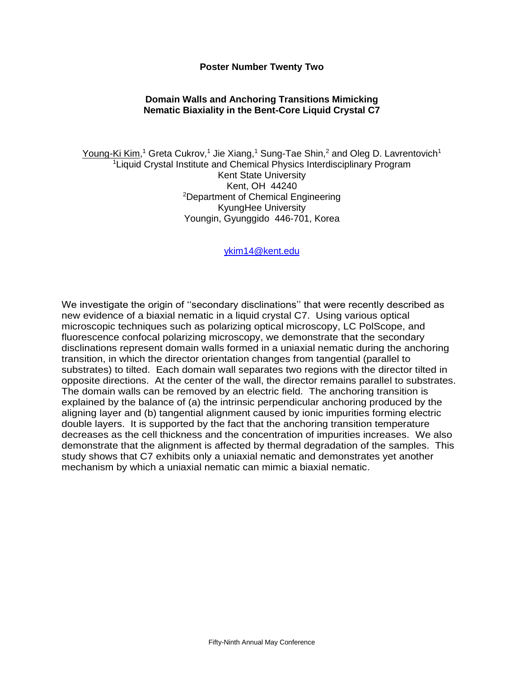#### **Poster Number Twenty Two**

## **Domain Walls and Anchoring Transitions Mimicking Nematic Biaxiality in the Bent-Core Liquid Crystal C7**

Young-Ki Kim,<sup>1</sup> Greta Cukrov,<sup>1</sup> Jie Xiang,<sup>1</sup> Sung-Tae Shin,<sup>2</sup> and Oleg D. Lavrentovich<sup>1</sup> <sup>1</sup>Liquid Crystal Institute and Chemical Physics Interdisciplinary Program Kent State University Kent, OH 44240 <sup>2</sup>Department of Chemical Engineering KyungHee University Youngin, Gyunggido 446-701, Korea

[ykim14@kent.edu](mailto:ykim14@kent.edu)

We investigate the origin of "secondary disclinations" that were recently described as new evidence of a biaxial nematic in a liquid crystal C7. Using various optical microscopic techniques such as polarizing optical microscopy, LC PolScope, and fluorescence confocal polarizing microscopy, we demonstrate that the secondary disclinations represent domain walls formed in a uniaxial nematic during the anchoring transition, in which the director orientation changes from tangential (parallel to substrates) to tilted. Each domain wall separates two regions with the director tilted in opposite directions. At the center of the wall, the director remains parallel to substrates. The domain walls can be removed by an electric field. The anchoring transition is explained by the balance of (a) the intrinsic perpendicular anchoring produced by the aligning layer and (b) tangential alignment caused by ionic impurities forming electric double layers. It is supported by the fact that the anchoring transition temperature decreases as the cell thickness and the concentration of impurities increases. We also demonstrate that the alignment is affected by thermal degradation of the samples. This study shows that C7 exhibits only a uniaxial nematic and demonstrates yet another mechanism by which a uniaxial nematic can mimic a biaxial nematic.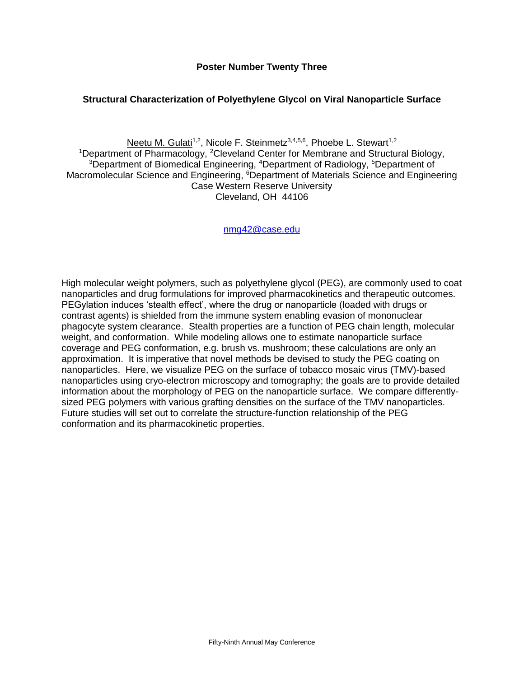## **Poster Number Twenty Three**

## **Structural Characterization of Polyethylene Glycol on Viral Nanoparticle Surface**

Neetu M. Gulati<sup>1,2</sup>, Nicole F. Steinmetz<sup>3,4,5,6</sup>, Phoebe L. Stewart<sup>1,2</sup> <sup>1</sup>Department of Pharmacology, <sup>2</sup>Cleveland Center for Membrane and Structural Biology, <sup>3</sup>Department of Biomedical Engineering, <sup>4</sup>Department of Radiology, <sup>5</sup>Department of Macromolecular Science and Engineering, <sup>6</sup>Department of Materials Science and Engineering Case Western Reserve University Cleveland, OH 44106

[nmg42@case.edu](mailto:nmg42@case.edu)

High molecular weight polymers, such as polyethylene glycol (PEG), are commonly used to coat nanoparticles and drug formulations for improved pharmacokinetics and therapeutic outcomes. PEGylation induces 'stealth effect', where the drug or nanoparticle (loaded with drugs or contrast agents) is shielded from the immune system enabling evasion of mononuclear phagocyte system clearance. Stealth properties are a function of PEG chain length, molecular weight, and conformation. While modeling allows one to estimate nanoparticle surface coverage and PEG conformation, e.g. brush vs. mushroom; these calculations are only an approximation. It is imperative that novel methods be devised to study the PEG coating on nanoparticles. Here, we visualize PEG on the surface of tobacco mosaic virus (TMV)-based nanoparticles using cryo-electron microscopy and tomography; the goals are to provide detailed information about the morphology of PEG on the nanoparticle surface. We compare differentlysized PEG polymers with various grafting densities on the surface of the TMV nanoparticles. Future studies will set out to correlate the structure-function relationship of the PEG conformation and its pharmacokinetic properties.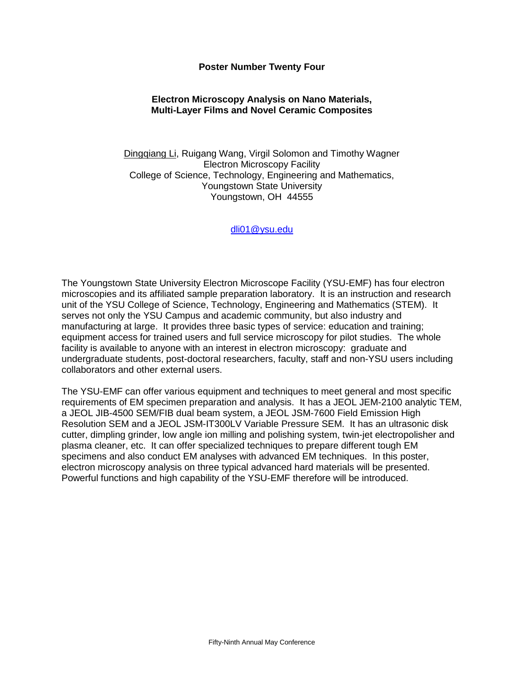## **Poster Number Twenty Four**

## **Electron Microscopy Analysis on Nano Materials, Multi-Layer Films and Novel Ceramic Composites**

Dingqiang Li, Ruigang Wang, Virgil Solomon and Timothy Wagner Electron Microscopy Facility College of Science, Technology, Engineering and Mathematics, Youngstown State University Youngstown, OH 44555

[dli01@ysu.edu](mailto:dli01@ysu.edu)

The Youngstown State University Electron Microscope Facility (YSU-EMF) has four electron microscopies and its affiliated sample preparation laboratory. It is an instruction and research unit of the YSU College of Science, Technology, Engineering and Mathematics (STEM). It serves not only the YSU Campus and academic community, but also industry and manufacturing at large. It provides three basic types of service: education and training; equipment access for trained users and full service microscopy for pilot studies. The whole facility is available to anyone with an interest in electron microscopy: graduate and undergraduate students, post-doctoral researchers, faculty, staff and non-YSU users including collaborators and other external users.

The YSU-EMF can offer various equipment and techniques to meet general and most specific requirements of EM specimen preparation and analysis. It has a JEOL JEM-2100 analytic TEM, a JEOL JIB-4500 SEM/FIB dual beam system, a JEOL JSM-7600 Field Emission High Resolution SEM and a JEOL JSM-IT300LV Variable Pressure SEM. It has an ultrasonic disk cutter, dimpling grinder, low angle ion milling and polishing system, twin-jet electropolisher and plasma cleaner, etc. It can offer specialized techniques to prepare different tough EM specimens and also conduct EM analyses with advanced EM techniques. In this poster, electron microscopy analysis on three typical advanced hard materials will be presented. Powerful functions and high capability of the YSU-EMF therefore will be introduced.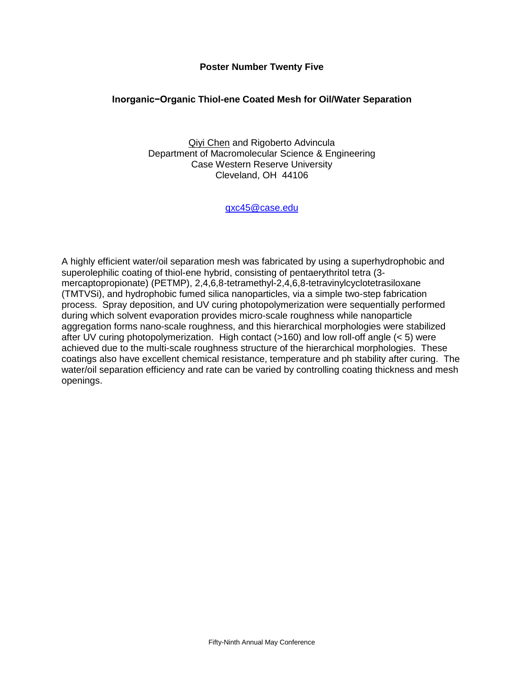## **Poster Number Twenty Five**

## **Inorganic−Organic Thiol-ene Coated Mesh for Oil/Water Separation**

Qiyi Chen and Rigoberto Advincula Department of Macromolecular Science & Engineering Case Western Reserve University Cleveland, OH 44106

[qxc45@case.edu](mailto:qxc45@case.edu)

A highly efficient water/oil separation mesh was fabricated by using a superhydrophobic and superolephilic coating of thiol-ene hybrid, consisting of pentaerythritol tetra (3 mercaptopropionate) (PETMP), 2,4,6,8-tetramethyl-2,4,6,8-tetravinylcyclotetrasiloxane (TMTVSi), and hydrophobic fumed silica nanoparticles, via a simple two-step fabrication process. Spray deposition, and UV curing photopolymerization were sequentially performed during which solvent evaporation provides micro-scale roughness while nanoparticle aggregation forms nano-scale roughness, and this hierarchical morphologies were stabilized after UV curing photopolymerization. High contact (>160) and low roll-off angle (< 5) were achieved due to the multi-scale roughness structure of the hierarchical morphologies. These coatings also have excellent chemical resistance, temperature and ph stability after curing. The water/oil separation efficiency and rate can be varied by controlling coating thickness and mesh openings.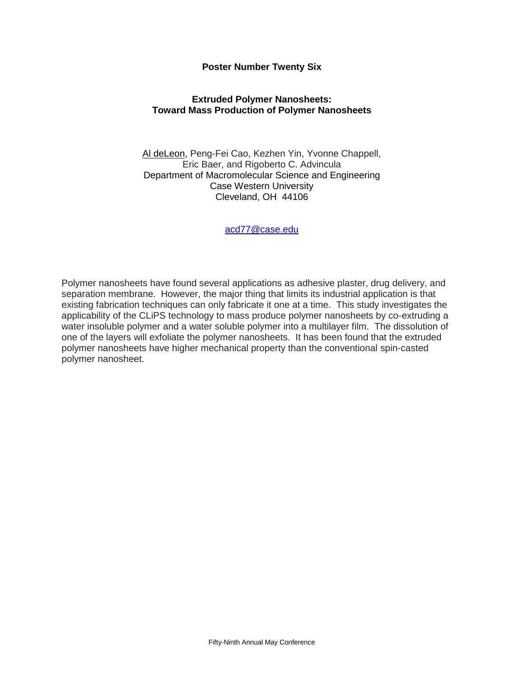## **Poster Number Twenty Six**

## **Extruded Polymer Nanosheets: Toward Mass Production of Polymer Nanosheets**

Al deLeon, Peng-Fei Cao, Kezhen Yin, Yvonne Chappell, Eric Baer, and Rigoberto C. Advincula Department of Macromolecular Science and Engineering Case Western University Cleveland, OH 44106

[acd77@case.edu](mailto:acd77@case.edu)

Polymer nanosheets have found several applications as adhesive plaster, drug delivery, and separation membrane. However, the major thing that limits its industrial application is that existing fabrication techniques can only fabricate it one at a time. This study investigates the applicability of the CLiPS technology to mass produce polymer nanosheets by co-extruding a water insoluble polymer and a water soluble polymer into a multilayer film. The dissolution of one of the layers will exfoliate the polymer nanosheets. It has been found that the extruded polymer nanosheets have higher mechanical property than the conventional spin-casted polymer nanosheet.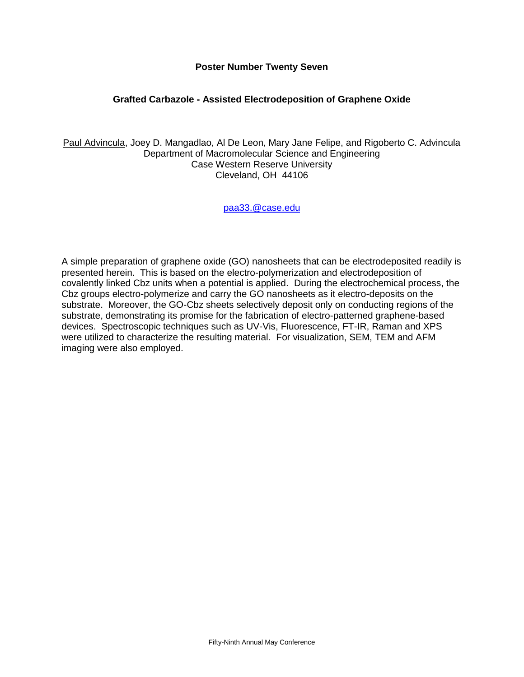## **Poster Number Twenty Seven**

## **Grafted Carbazole - Assisted Electrodeposition of Graphene Oxide**

Paul Advincula, Joey D. Mangadlao, Al De Leon, Mary Jane Felipe, and Rigoberto C. Advincula Department of Macromolecular Science and Engineering Case Western Reserve University Cleveland, OH 44106

[paa33.@case.edu](mailto:paa33.@case.edu)

A simple preparation of graphene oxide (GO) nanosheets that can be electrodeposited readily is presented herein. This is based on the electro-polymerization and electrodeposition of covalently linked Cbz units when a potential is applied. During the electrochemical process, the Cbz groups electro-polymerize and carry the GO nanosheets as it electro-deposits on the substrate. Moreover, the GO-Cbz sheets selectively deposit only on conducting regions of the substrate, demonstrating its promise for the fabrication of electro-patterned graphene-based devices. Spectroscopic techniques such as UV-Vis, Fluorescence, FT-IR, Raman and XPS were utilized to characterize the resulting material. For visualization, SEM, TEM and AFM imaging were also employed.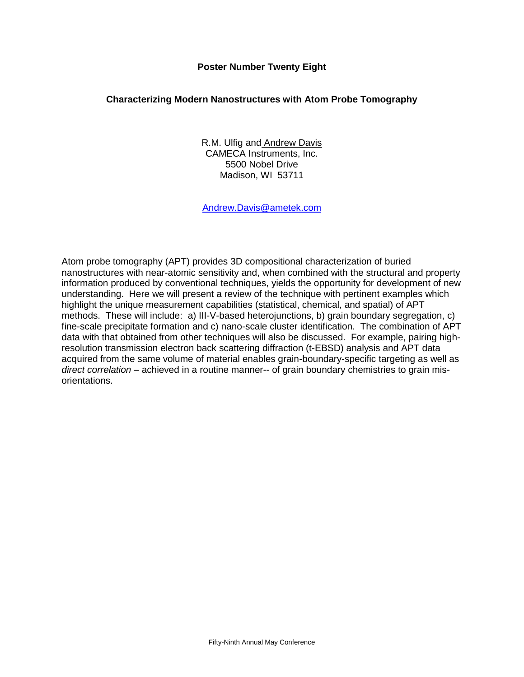## **Poster Number Twenty Eight**

## **Characterizing Modern Nanostructures with Atom Probe Tomography**

R.M. Ulfig and Andrew Davis CAMECA Instruments, Inc. 5500 Nobel Drive Madison, WI 53711

[Andrew.Davis@ametek.com](mailto:Andrew.Davis@ametek.com)

Atom probe tomography (APT) provides 3D compositional characterization of buried nanostructures with near-atomic sensitivity and, when combined with the structural and property information produced by conventional techniques, yields the opportunity for development of new understanding. Here we will present a review of the technique with pertinent examples which highlight the unique measurement capabilities (statistical, chemical, and spatial) of APT methods. These will include: a) III-V-based heterojunctions, b) grain boundary segregation, c) fine-scale precipitate formation and c) nano-scale cluster identification. The combination of APT data with that obtained from other techniques will also be discussed. For example, pairing highresolution transmission electron back scattering diffraction (t-EBSD) analysis and APT data acquired from the same volume of material enables grain-boundary-specific targeting as well as *direct correlation* – achieved in a routine manner-- of grain boundary chemistries to grain misorientations.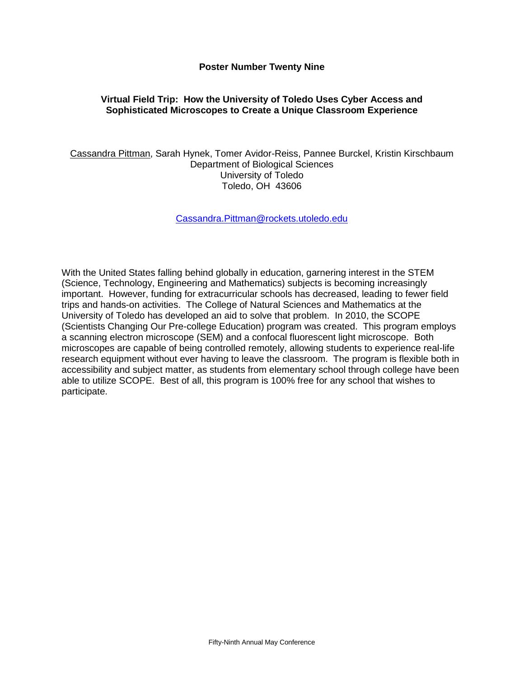## **Poster Number Twenty Nine**

## **Virtual Field Trip: How the University of Toledo Uses Cyber Access and Sophisticated Microscopes to Create a Unique Classroom Experience**

Cassandra Pittman, Sarah Hynek, Tomer Avidor-Reiss, Pannee Burckel, Kristin Kirschbaum Department of Biological Sciences University of Toledo Toledo, OH 43606

[Cassandra.Pittman@rockets.utoledo.edu](mailto:Cassandra.Pittman@rockets.utoledo.edu)

With the United States falling behind globally in education, garnering interest in the STEM (Science, Technology, Engineering and Mathematics) subjects is becoming increasingly important. However, funding for extracurricular schools has decreased, leading to fewer field trips and hands-on activities. The College of Natural Sciences and Mathematics at the University of Toledo has developed an aid to solve that problem. In 2010, the SCOPE (Scientists Changing Our Pre-college Education) program was created. This program employs a scanning electron microscope (SEM) and a confocal fluorescent light microscope. Both microscopes are capable of being controlled remotely, allowing students to experience real-life research equipment without ever having to leave the classroom. The program is flexible both in accessibility and subject matter, as students from elementary school through college have been able to utilize SCOPE. Best of all, this program is 100% free for any school that wishes to participate.